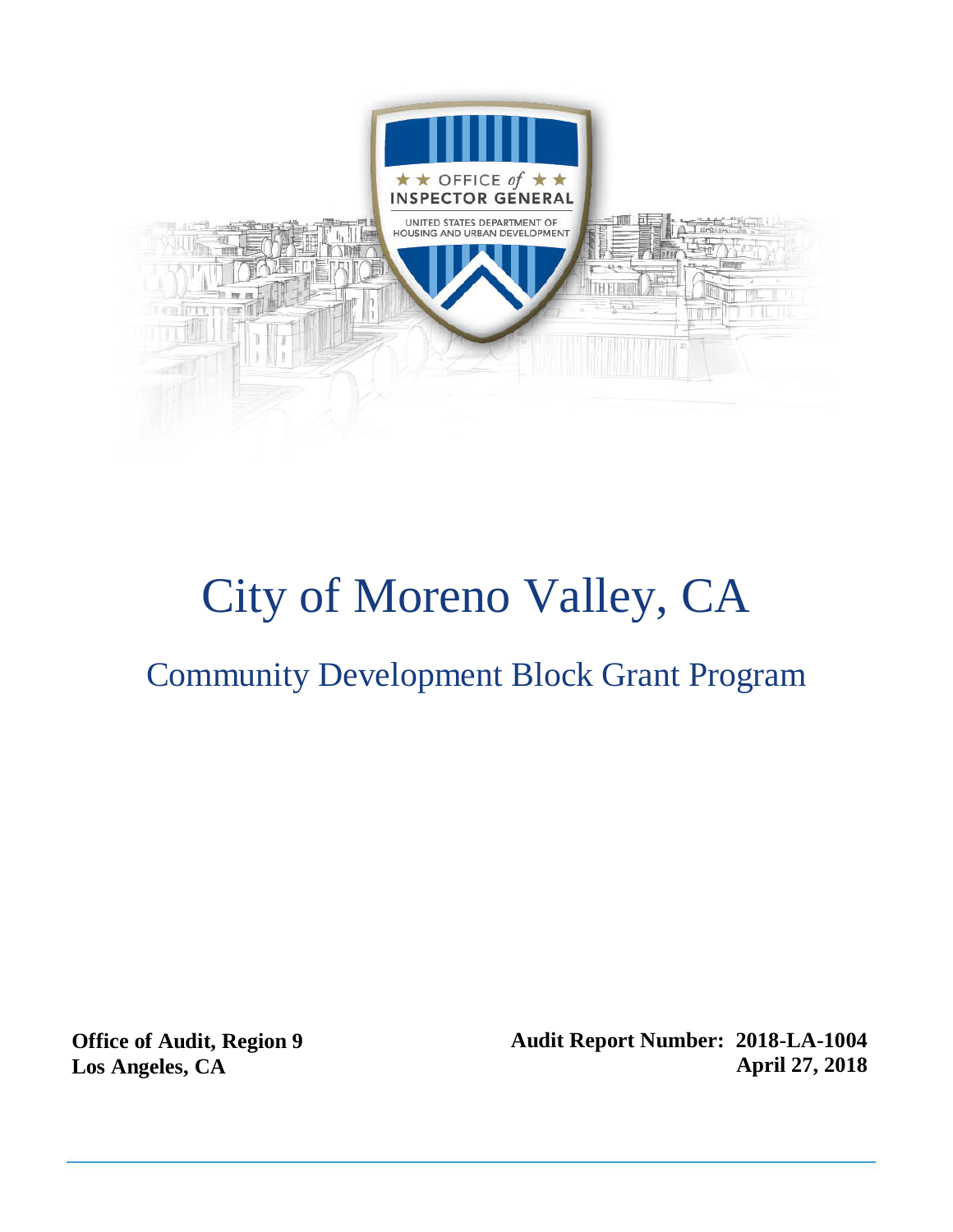

# City of Moreno Valley, CA

## Community Development Block Grant Program

**Office of Audit, Region 9 Los Angeles, CA**

**Audit Report Number: 2018-LA-1004 April 27, 2018**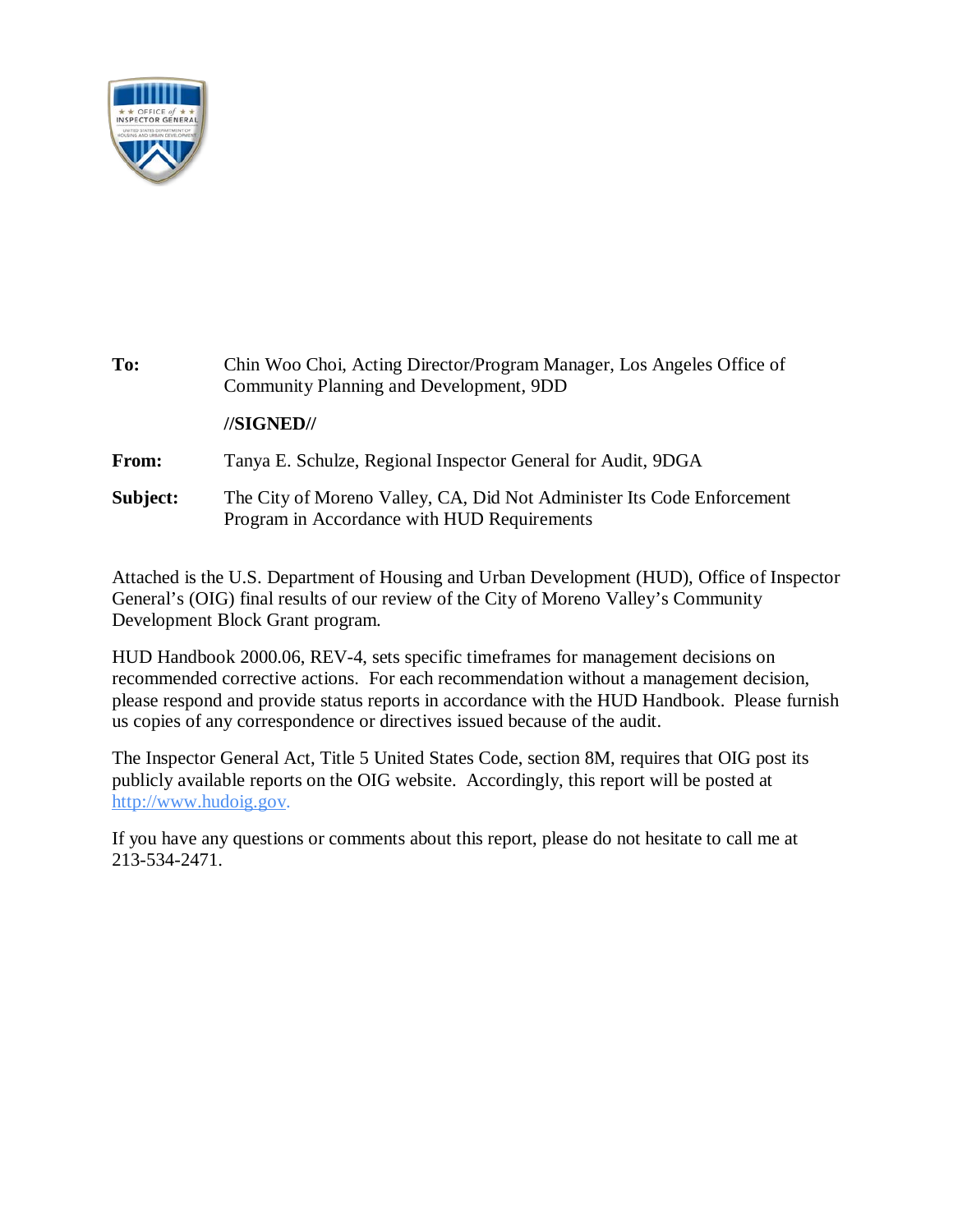

| To:      | Chin Woo Choi, Acting Director/Program Manager, Los Angeles Office of<br>Community Planning and Development, 9DD      |
|----------|-----------------------------------------------------------------------------------------------------------------------|
|          | //SIGNED//                                                                                                            |
| From:    | Tanya E. Schulze, Regional Inspector General for Audit, 9DGA                                                          |
| Subject: | The City of Moreno Valley, CA, Did Not Administer Its Code Enforcement<br>Program in Accordance with HUD Requirements |

Attached is the U.S. Department of Housing and Urban Development (HUD), Office of Inspector General's (OIG) final results of our review of the City of Moreno Valley's Community Development Block Grant program.

HUD Handbook 2000.06, REV-4, sets specific timeframes for management decisions on recommended corrective actions. For each recommendation without a management decision, please respond and provide status reports in accordance with the HUD Handbook. Please furnish us copies of any correspondence or directives issued because of the audit.

The Inspector General Act, Title 5 United States Code, section 8M, requires that OIG post its publicly available reports on the OIG website. Accordingly, this report will be posted at [http://www.hudoig.gov.](http://www.hudoig.gov/)

If you have any questions or comments about this report, please do not hesitate to call me at 213-534-2471.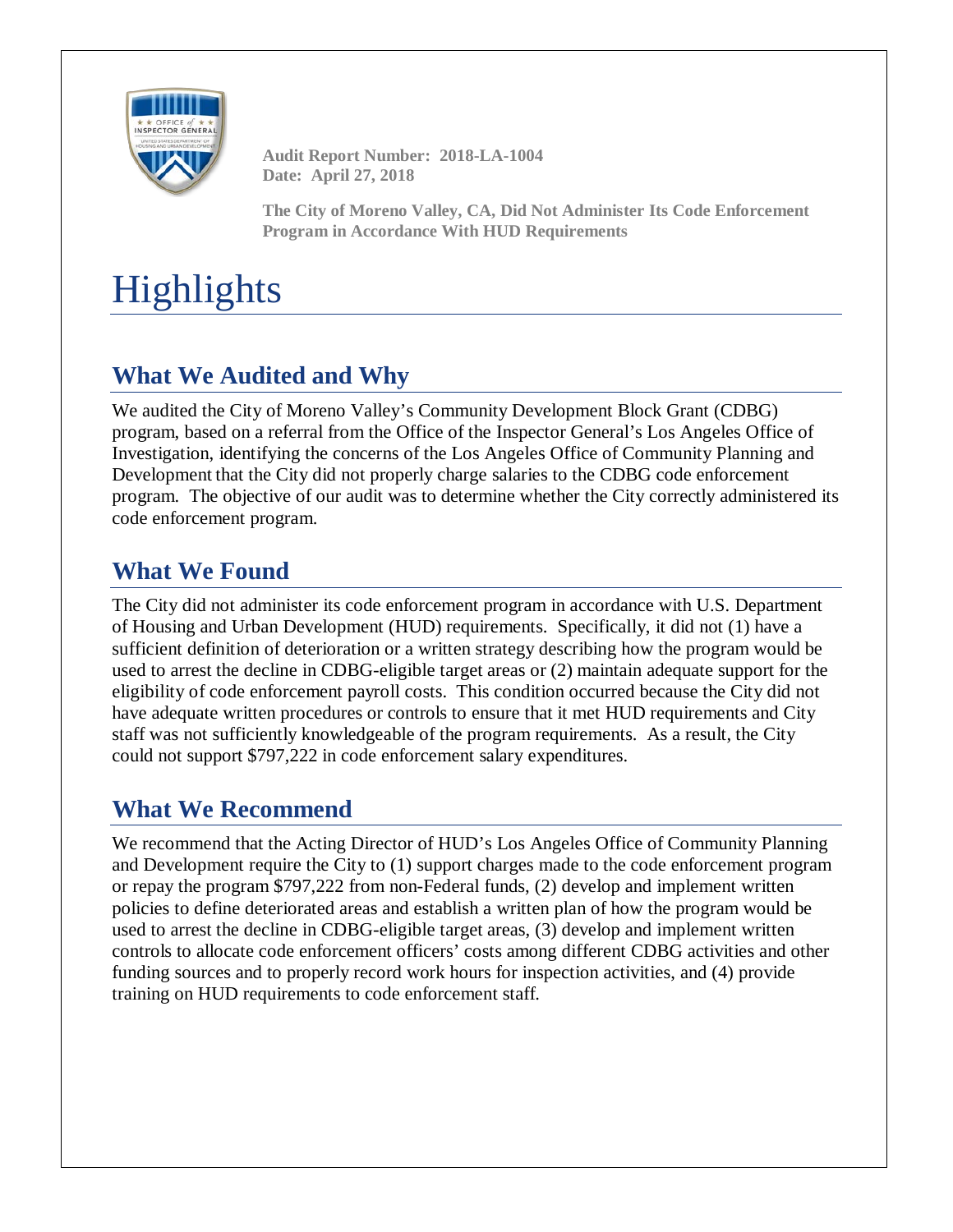

**Audit Report Number: 2018-LA-1004 Date: April 27, 2018**

**The City of Moreno Valley, CA, Did Not Administer Its Code Enforcement Program in Accordance With HUD Requirements**

## **Highlights**

## **What We Audited and Why**

We audited the City of Moreno Valley's Community Development Block Grant (CDBG) program, based on a referral from the Office of the Inspector General's Los Angeles Office of Investigation, identifying the concerns of the Los Angeles Office of Community Planning and Development that the City did not properly charge salaries to the CDBG code enforcement program. The objective of our audit was to determine whether the City correctly administered its code enforcement program.

### **What We Found**

The City did not administer its code enforcement program in accordance with U.S. Department of Housing and Urban Development (HUD) requirements. Specifically, it did not (1) have a sufficient definition of deterioration or a written strategy describing how the program would be used to arrest the decline in CDBG-eligible target areas or (2) maintain adequate support for the eligibility of code enforcement payroll costs. This condition occurred because the City did not have adequate written procedures or controls to ensure that it met HUD requirements and City staff was not sufficiently knowledgeable of the program requirements. As a result, the City could not support \$797,222 in code enforcement salary expenditures.

### **What We Recommend**

We recommend that the Acting Director of HUD's Los Angeles Office of Community Planning and Development require the City to (1) support charges made to the code enforcement program or repay the program \$797,222 from non-Federal funds, (2) develop and implement written policies to define deteriorated areas and establish a written plan of how the program would be used to arrest the decline in CDBG-eligible target areas, (3) develop and implement written controls to allocate code enforcement officers' costs among different CDBG activities and other funding sources and to properly record work hours for inspection activities, and (4) provide training on HUD requirements to code enforcement staff.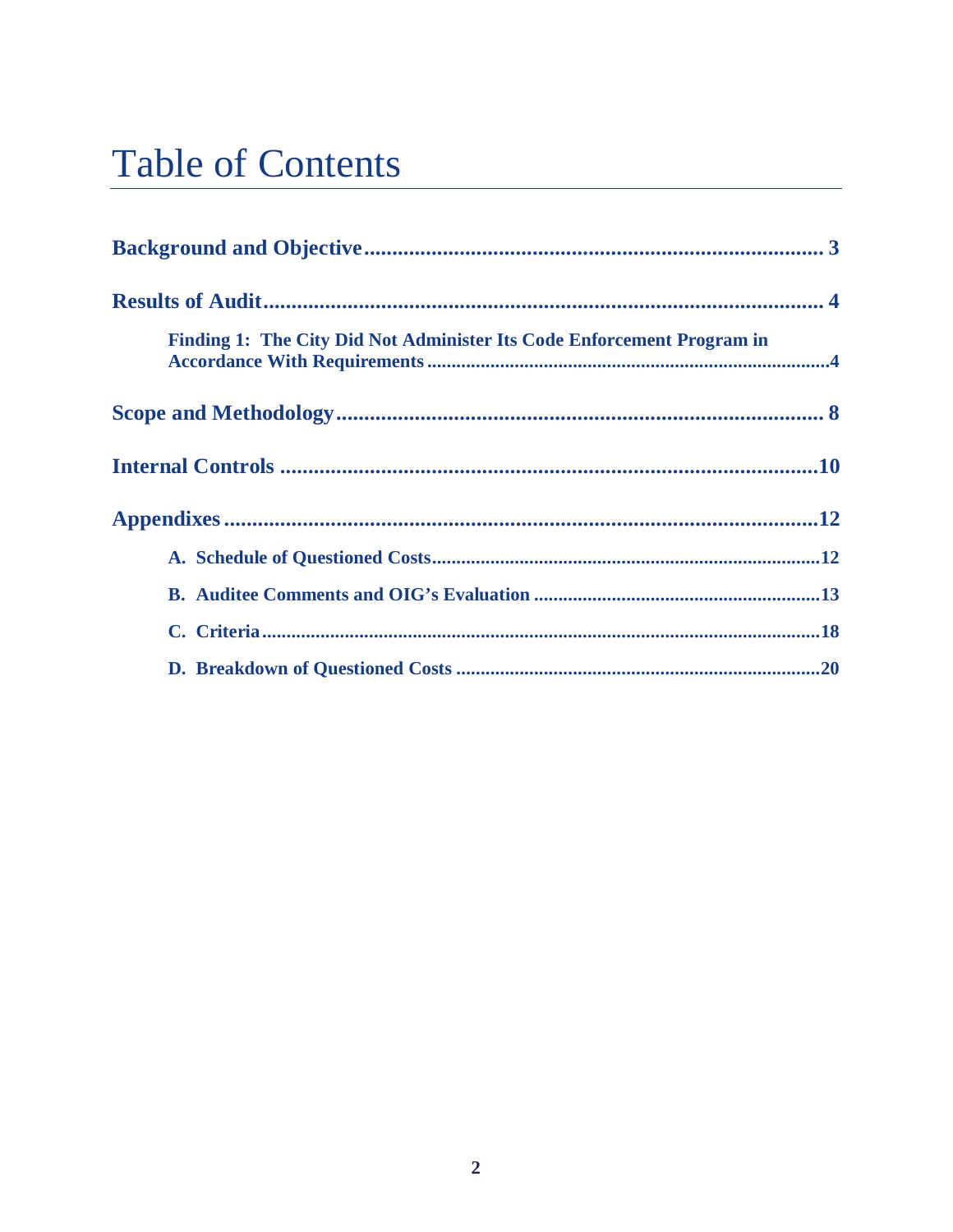## **Table of Contents**

| Finding 1: The City Did Not Administer Its Code Enforcement Program in |  |
|------------------------------------------------------------------------|--|
|                                                                        |  |
|                                                                        |  |
|                                                                        |  |
|                                                                        |  |
|                                                                        |  |
|                                                                        |  |
|                                                                        |  |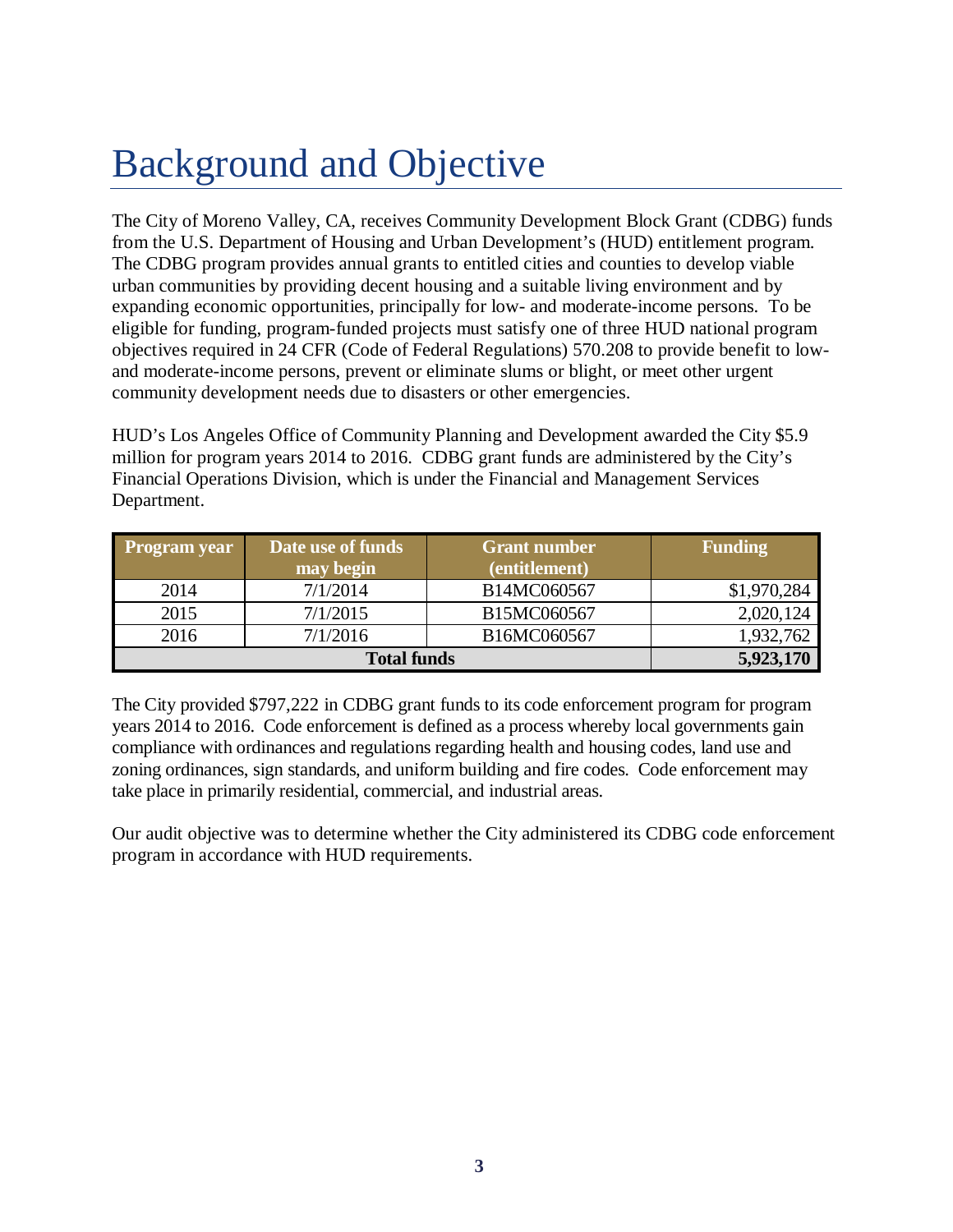## <span id="page-4-0"></span>Background and Objective

The City of Moreno Valley, CA, receives Community Development Block Grant (CDBG) funds from the U.S. Department of Housing and Urban Development's (HUD) entitlement program. The CDBG program provides annual grants to entitled cities and counties to develop viable urban communities by providing decent housing and a suitable living environment and by expanding economic opportunities, principally for low- and moderate-income persons. To be eligible for funding, program-funded projects must satisfy one of three HUD national program objectives required in 24 CFR (Code of Federal Regulations) 570.208 to provide benefit to lowand moderate-income persons, prevent or eliminate slums or blight, or meet other urgent community development needs due to disasters or other emergencies.

HUD's Los Angeles Office of Community Planning and Development awarded the City \$5.9 million for program years 2014 to 2016. CDBG grant funds are administered by the City's Financial Operations Division, which is under the Financial and Management Services Department.

| <b>Program</b> year | Date use of funds<br><b>Grant number</b> |               | <b>Funding</b> |
|---------------------|------------------------------------------|---------------|----------------|
|                     | may begin                                | (entitlement) |                |
| 2014                | 7/1/2014                                 | B14MC060567   | \$1,970,284    |
| 2015                | 7/1/2015                                 | B15MC060567   | 2,020,124      |
| 2016                | 7/1/2016                                 | B16MC060567   | 1,932,762      |
|                     | 5,923,170                                |               |                |

The City provided \$797,222 in CDBG grant funds to its code enforcement program for program years 2014 to 2016. Code enforcement is defined as a process whereby local governments gain compliance with ordinances and regulations regarding health and housing codes, land use and zoning ordinances, sign standards, and uniform building and fire codes. Code enforcement may take place in primarily residential, commercial, and industrial areas.

Our audit objective was to determine whether the City administered its CDBG code enforcement program in accordance with HUD requirements.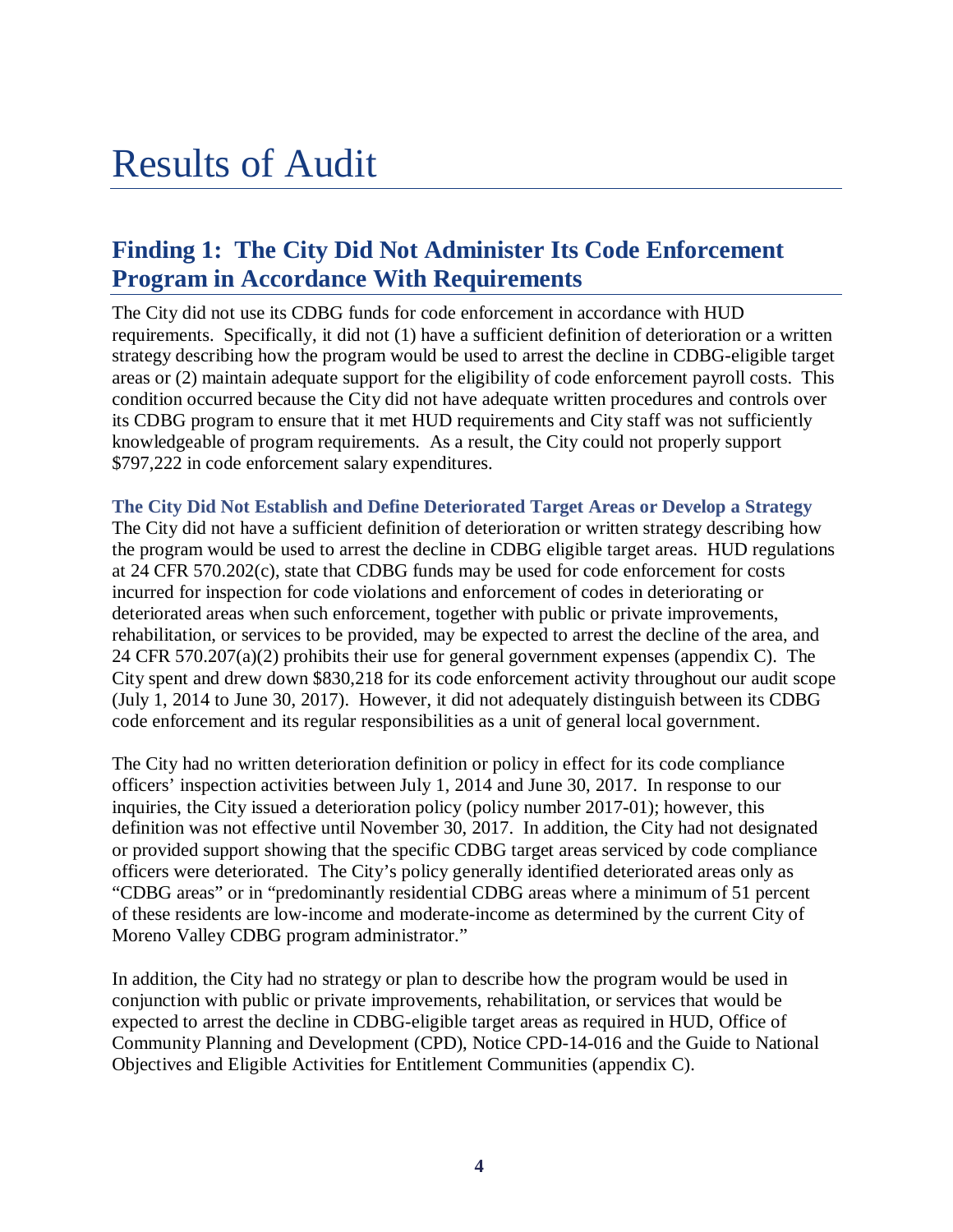## <span id="page-5-0"></span>Results of Audit

### <span id="page-5-1"></span>**Finding 1: The City Did Not Administer Its Code Enforcement Program in Accordance With Requirements**

The City did not use its CDBG funds for code enforcement in accordance with HUD requirements. Specifically, it did not (1) have a sufficient definition of deterioration or a written strategy describing how the program would be used to arrest the decline in CDBG-eligible target areas or (2) maintain adequate support for the eligibility of code enforcement payroll costs. This condition occurred because the City did not have adequate written procedures and controls over its CDBG program to ensure that it met HUD requirements and City staff was not sufficiently knowledgeable of program requirements. As a result, the City could not properly support \$797,222 in code enforcement salary expenditures.

**The City Did Not Establish and Define Deteriorated Target Areas or Develop a Strategy** The City did not have a sufficient definition of deterioration or written strategy describing how the program would be used to arrest the decline in CDBG eligible target areas. HUD regulations at 24 CFR 570.202(c), state that CDBG funds may be used for code enforcement for costs incurred for inspection for code violations and enforcement of codes in deteriorating or deteriorated areas when such enforcement, together with public or private improvements, rehabilitation, or services to be provided, may be expected to arrest the decline of the area, and 24 CFR 570.207(a)(2) prohibits their use for general government expenses (appendix C). The City spent and drew down \$830,218 for its code enforcement activity throughout our audit scope (July 1, 2014 to June 30, 2017). However, it did not adequately distinguish between its CDBG code enforcement and its regular responsibilities as a unit of general local government.

The City had no written deterioration definition or policy in effect for its code compliance officers' inspection activities between July 1, 2014 and June 30, 2017. In response to our inquiries, the City issued a deterioration policy (policy number 2017-01); however, this definition was not effective until November 30, 2017. In addition, the City had not designated or provided support showing that the specific CDBG target areas serviced by code compliance officers were deteriorated. The City's policy generally identified deteriorated areas only as "CDBG areas" or in "predominantly residential CDBG areas where a minimum of 51 percent of these residents are low-income and moderate-income as determined by the current City of Moreno Valley CDBG program administrator."

In addition, the City had no strategy or plan to describe how the program would be used in conjunction with public or private improvements, rehabilitation, or services that would be expected to arrest the decline in CDBG-eligible target areas as required in HUD, Office of Community Planning and Development (CPD), Notice CPD-14-016 and the Guide to National Objectives and Eligible Activities for Entitlement Communities (appendix C).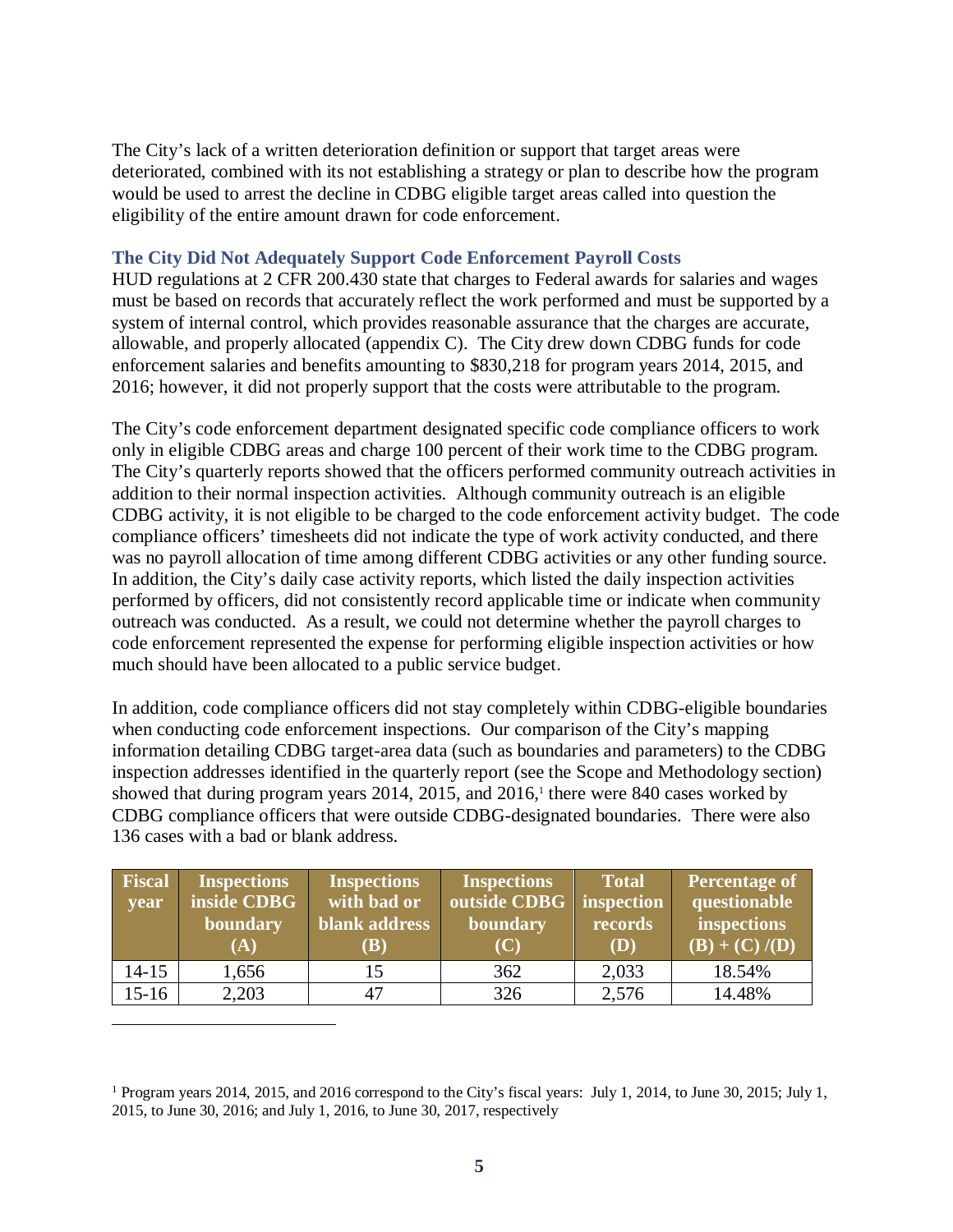The City's lack of a written deterioration definition or support that target areas were deteriorated, combined with its not establishing a strategy or plan to describe how the program would be used to arrest the decline in CDBG eligible target areas called into question the eligibility of the entire amount drawn for code enforcement.

#### **The City Did Not Adequately Support Code Enforcement Payroll Costs**

HUD regulations at 2 CFR 200.430 state that charges to Federal awards for salaries and wages must be based on records that accurately reflect the work performed and must be supported by a system of internal control, which provides reasonable assurance that the charges are accurate, allowable, and properly allocated (appendix C). The City drew down CDBG funds for code enforcement salaries and benefits amounting to \$830,218 for program years 2014, 2015, and 2016; however, it did not properly support that the costs were attributable to the program.

The City's code enforcement department designated specific code compliance officers to work only in eligible CDBG areas and charge 100 percent of their work time to the CDBG program. The City's quarterly reports showed that the officers performed community outreach activities in addition to their normal inspection activities. Although community outreach is an eligible CDBG activity, it is not eligible to be charged to the code enforcement activity budget. The code compliance officers' timesheets did not indicate the type of work activity conducted, and there was no payroll allocation of time among different CDBG activities or any other funding source. In addition, the City's daily case activity reports, which listed the daily inspection activities performed by officers, did not consistently record applicable time or indicate when community outreach was conducted. As a result, we could not determine whether the payroll charges to code enforcement represented the expense for performing eligible inspection activities or how much should have been allocated to a public service budget.

In addition, code compliance officers did not stay completely within CDBG-eligible boundaries when conducting code enforcement inspections. Our comparison of the City's mapping information detailing CDBG target-area data (such as boundaries and parameters) to the CDBG inspection addresses identified in the quarterly report (see the Scope and Methodology section) showed that during program years 2014, 2015, and 2016, <sup>1</sup> there were 840 cases worked by CDBG compliance officers that were outside CDBG-designated boundaries. There were also 136 cases with a bad or blank address.

| Fiscal<br>year | <b>Inspections</b><br>inside CDBG<br>boundary<br>(A) | <b>Inspections</b><br>with bad or<br>blank address<br><b>(B)</b> | <b>Inspections</b><br>outside CDBG<br>boundary<br>(C) | <b>Total</b><br>inspection<br>records<br>(D) | <b>Percentage of</b><br>questionable<br>inspections<br>$(B) + (C) / (D)$ |
|----------------|------------------------------------------------------|------------------------------------------------------------------|-------------------------------------------------------|----------------------------------------------|--------------------------------------------------------------------------|
| $14 - 15$      | 1,656                                                | 15                                                               | 362                                                   | 2,033                                        | 18.54%                                                                   |
| $15 - 16$      | 2,203                                                | 47                                                               | 326                                                   | 2,576                                        | 14.48%                                                                   |

 $\overline{a}$ 

<sup>&</sup>lt;sup>1</sup> Program years 2014, 2015, and 2016 correspond to the City's fiscal years: July 1, 2014, to June 30, 2015; July 1, 2015, to June 30, 2016; and July 1, 2016, to June 30, 2017, respectively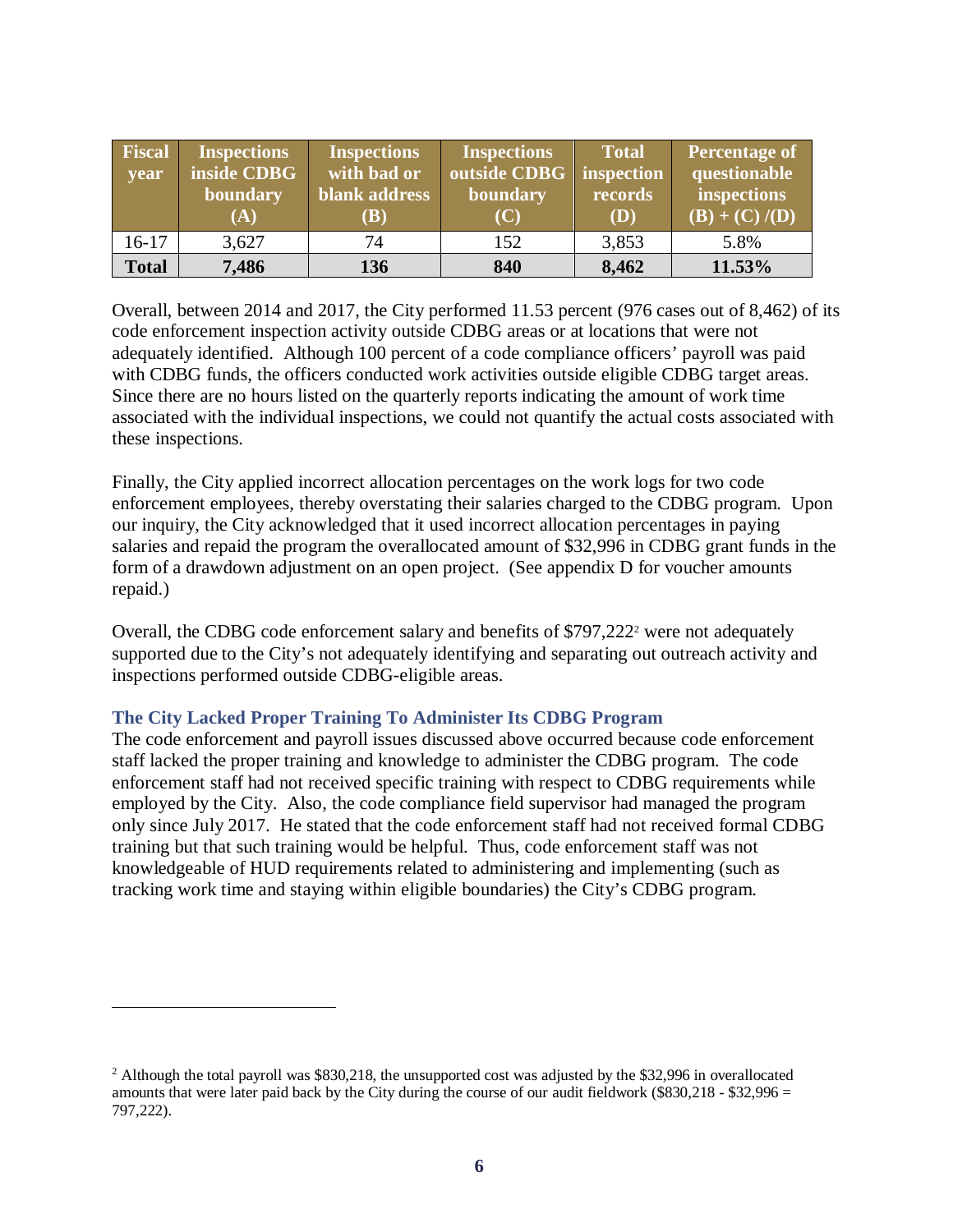| Fiscal<br>year | <b>Inspections</b><br>inside CDBG<br>boundary<br>(A) | <b>Inspections</b><br>with bad or<br>blank address<br><b>(B)</b> | Inspections <sup>1</sup><br>outside CDBG   inspection<br>boundary<br>(C) | <b>Total</b><br>records<br>(D) | Percentage of<br>questionable<br>inspections<br>$(B) + (C) / (D)$ |
|----------------|------------------------------------------------------|------------------------------------------------------------------|--------------------------------------------------------------------------|--------------------------------|-------------------------------------------------------------------|
| $16 - 17$      | 3,627                                                | 74                                                               | 152                                                                      | 3,853                          | 5.8%                                                              |
| <b>Total</b>   | 7,486                                                | 136                                                              | 840                                                                      | 8,462                          | 11.53%                                                            |

Overall, between 2014 and 2017, the City performed 11.53 percent (976 cases out of 8,462) of its code enforcement inspection activity outside CDBG areas or at locations that were not adequately identified. Although 100 percent of a code compliance officers' payroll was paid with CDBG funds, the officers conducted work activities outside eligible CDBG target areas. Since there are no hours listed on the quarterly reports indicating the amount of work time associated with the individual inspections, we could not quantify the actual costs associated with these inspections.

Finally, the City applied incorrect allocation percentages on the work logs for two code enforcement employees, thereby overstating their salaries charged to the CDBG program. Upon our inquiry, the City acknowledged that it used incorrect allocation percentages in paying salaries and repaid the program the overallocated amount of \$32,996 in CDBG grant funds in the form of a drawdown adjustment on an open project. (See appendix D for voucher amounts repaid.)

Overall, the CDBG code enforcement salary and benefits of \$797,222<sup>2</sup> were not adequately supported due to the City's not adequately identifying and separating out outreach activity and inspections performed outside CDBG-eligible areas.

#### **The City Lacked Proper Training To Administer Its CDBG Program**

 $\overline{a}$ 

The code enforcement and payroll issues discussed above occurred because code enforcement staff lacked the proper training and knowledge to administer the CDBG program. The code enforcement staff had not received specific training with respect to CDBG requirements while employed by the City. Also, the code compliance field supervisor had managed the program only since July 2017. He stated that the code enforcement staff had not received formal CDBG training but that such training would be helpful. Thus, code enforcement staff was not knowledgeable of HUD requirements related to administering and implementing (such as tracking work time and staying within eligible boundaries) the City's CDBG program.

 $^2$  Although the total payroll was \$830,218, the unsupported cost was adjusted by the \$32,996 in overallocated amounts that were later paid back by the City during the course of our audit fieldwork ( $$830,218 - $32,996 =$ 797,222).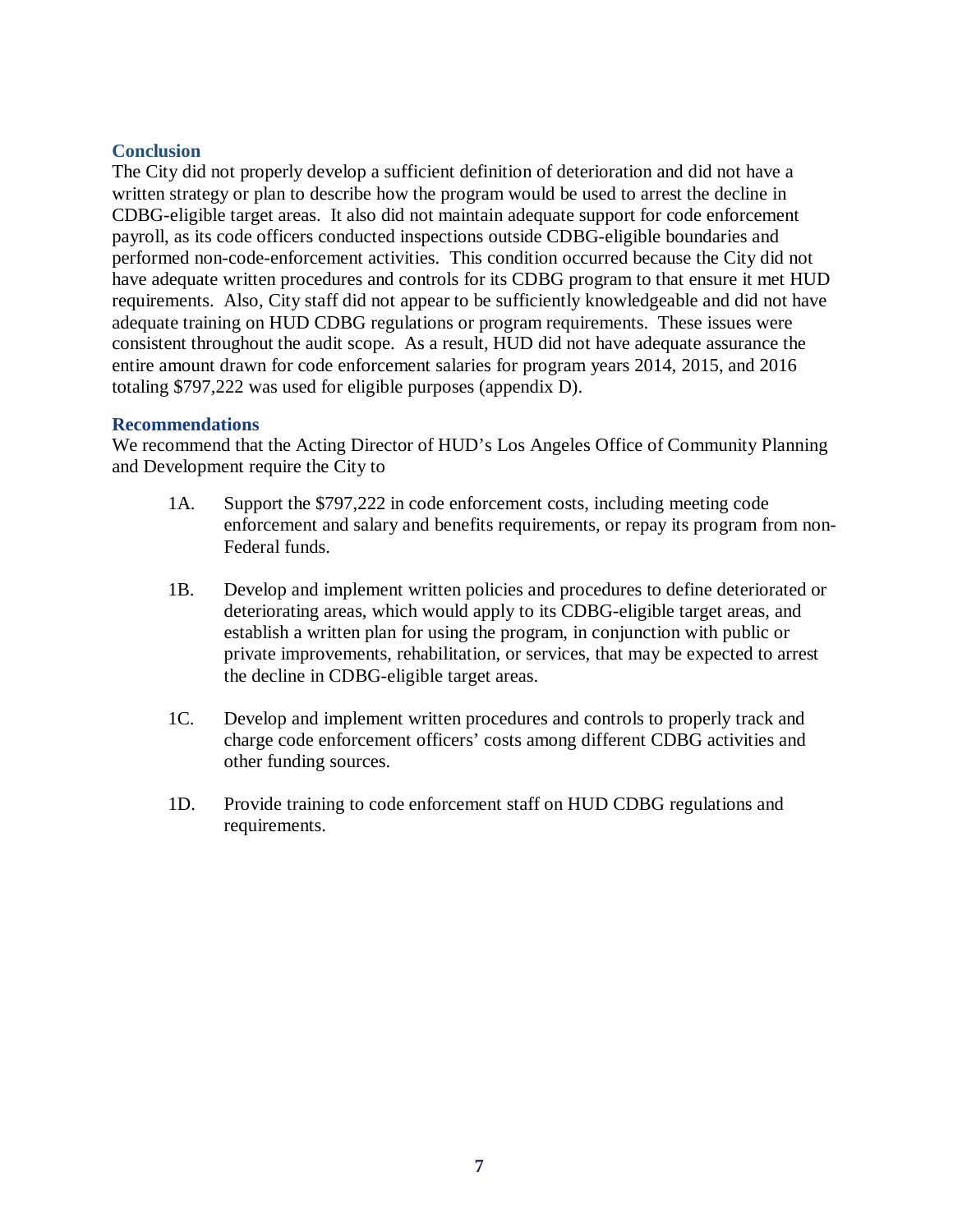#### **Conclusion**

The City did not properly develop a sufficient definition of deterioration and did not have a written strategy or plan to describe how the program would be used to arrest the decline in CDBG-eligible target areas. It also did not maintain adequate support for code enforcement payroll, as its code officers conducted inspections outside CDBG-eligible boundaries and performed non-code-enforcement activities. This condition occurred because the City did not have adequate written procedures and controls for its CDBG program to that ensure it met HUD requirements. Also, City staff did not appear to be sufficiently knowledgeable and did not have adequate training on HUD CDBG regulations or program requirements. These issues were consistent throughout the audit scope. As a result, HUD did not have adequate assurance the entire amount drawn for code enforcement salaries for program years 2014, 2015, and 2016 totaling \$797,222 was used for eligible purposes (appendix D).

#### **Recommendations**

We recommend that the Acting Director of HUD's Los Angeles Office of Community Planning and Development require the City to

- 1A. Support the \$797,222 in code enforcement costs, including meeting code enforcement and salary and benefits requirements, or repay its program from non-Federal funds.
- 1B. Develop and implement written policies and procedures to define deteriorated or deteriorating areas, which would apply to its CDBG-eligible target areas, and establish a written plan for using the program, in conjunction with public or private improvements, rehabilitation, or services, that may be expected to arrest the decline in CDBG-eligible target areas.
- 1C. Develop and implement written procedures and controls to properly track and charge code enforcement officers' costs among different CDBG activities and other funding sources.
- 1D. Provide training to code enforcement staff on HUD CDBG regulations and requirements.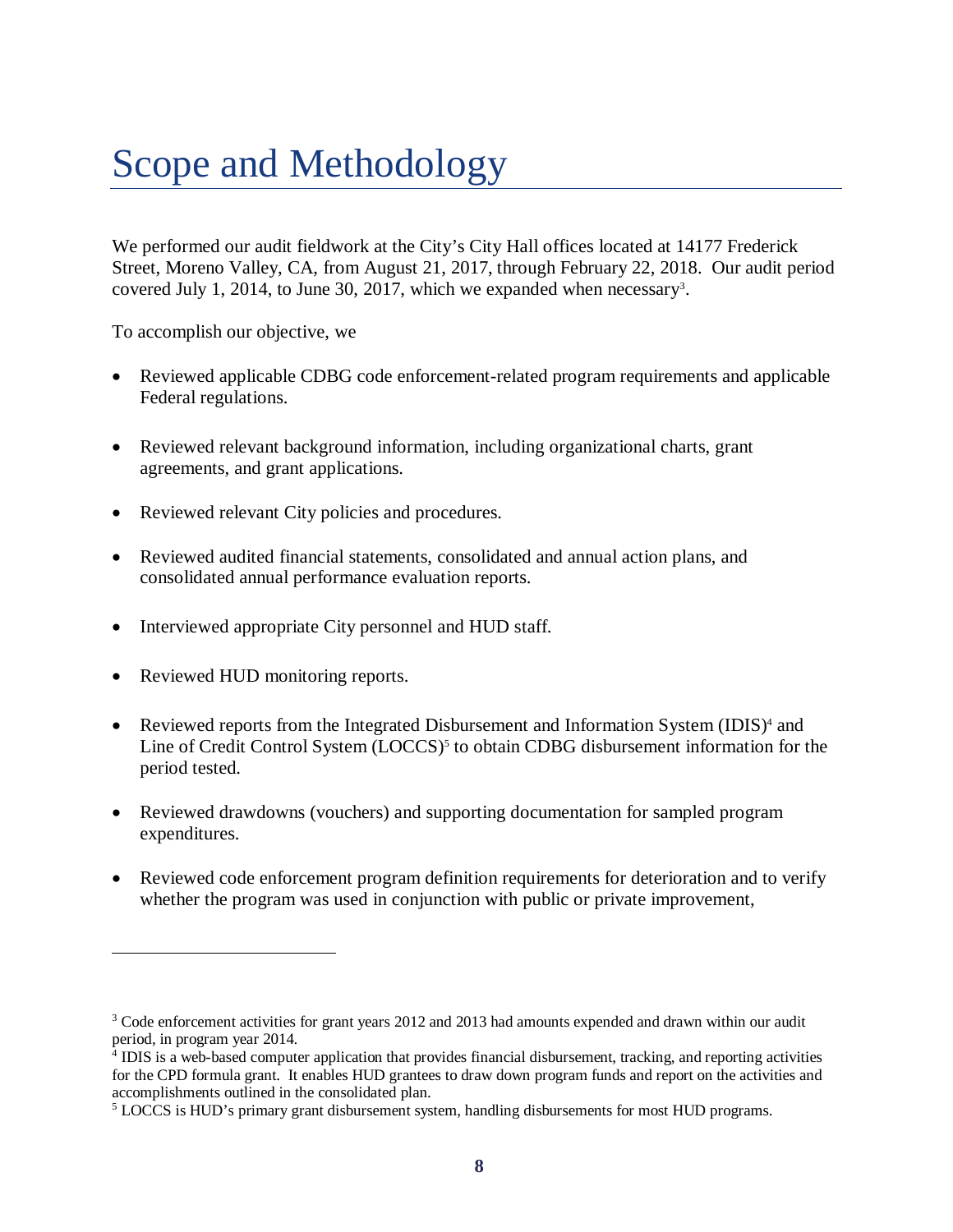## <span id="page-9-0"></span>Scope and Methodology

We performed our audit fieldwork at the City's City Hall offices located at 14177 Frederick Street, Moreno Valley, CA, from August 21, 2017, through February 22, 2018. Our audit period covered July 1, 2014, to June 30, 2017, which we expanded when necessary<sup>3</sup>.

To accomplish our objective, we

- Reviewed applicable CDBG code enforcement-related program requirements and applicable Federal regulations.
- Reviewed relevant background information, including organizational charts, grant agreements, and grant applications.
- Reviewed relevant City policies and procedures.
- Reviewed audited financial statements, consolidated and annual action plans, and consolidated annual performance evaluation reports.
- Interviewed appropriate City personnel and HUD staff.
- Reviewed HUD monitoring reports.

 $\overline{a}$ 

- Reviewed reports from the Integrated Disbursement and Information System (IDIS)<sup>4</sup> and Line of Credit Control System (LOCCS)<sup>5</sup> to obtain CDBG disbursement information for the period tested.
- Reviewed drawdowns (vouchers) and supporting documentation for sampled program expenditures.
- Reviewed code enforcement program definition requirements for deterioration and to verify whether the program was used in conjunction with public or private improvement,

<sup>&</sup>lt;sup>3</sup> Code enforcement activities for grant years 2012 and 2013 had amounts expended and drawn within our audit period, in program year 2014.

<sup>4</sup> IDIS is a web-based computer application that provides financial disbursement, tracking, and reporting activities for the CPD formula grant. It enables HUD grantees to draw down program funds and report on the activities and accomplishments outlined in the consolidated plan.

<sup>&</sup>lt;sup>5</sup> LOCCS is HUD's primary grant disbursement system, handling disbursements for most HUD programs.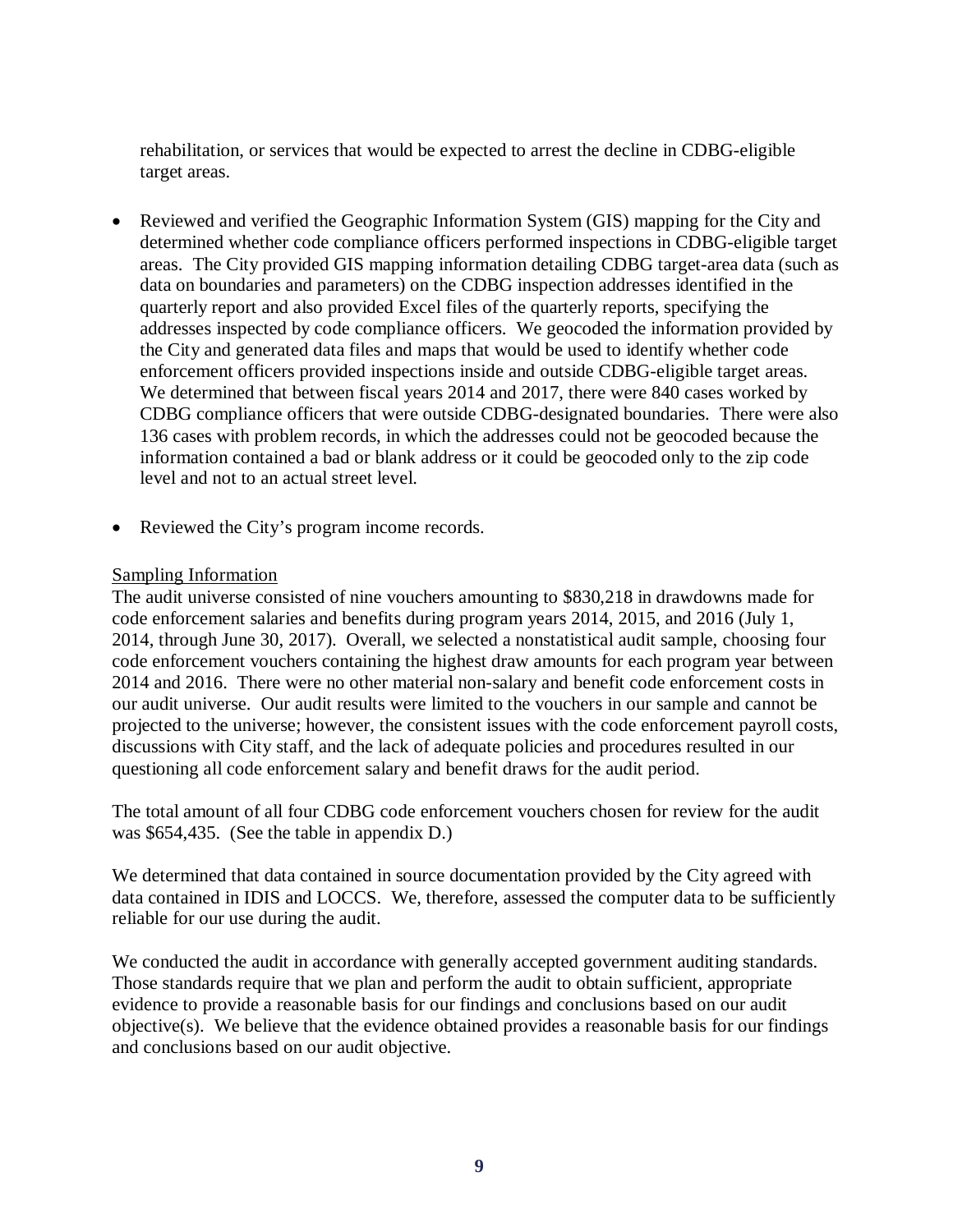rehabilitation, or services that would be expected to arrest the decline in CDBG-eligible target areas.

- Reviewed and verified the Geographic Information System (GIS) mapping for the City and determined whether code compliance officers performed inspections in CDBG-eligible target areas. The City provided GIS mapping information detailing CDBG target-area data (such as data on boundaries and parameters) on the CDBG inspection addresses identified in the quarterly report and also provided Excel files of the quarterly reports, specifying the addresses inspected by code compliance officers. We geocoded the information provided by the City and generated data files and maps that would be used to identify whether code enforcement officers provided inspections inside and outside CDBG-eligible target areas. We determined that between fiscal years 2014 and 2017, there were 840 cases worked by CDBG compliance officers that were outside CDBG-designated boundaries. There were also 136 cases with problem records, in which the addresses could not be geocoded because the information contained a bad or blank address or it could be geocoded only to the zip code level and not to an actual street level.
- Reviewed the City's program income records.

#### Sampling Information

The audit universe consisted of nine vouchers amounting to \$830,218 in drawdowns made for code enforcement salaries and benefits during program years 2014, 2015, and 2016 (July 1, 2014, through June 30, 2017). Overall, we selected a nonstatistical audit sample, choosing four code enforcement vouchers containing the highest draw amounts for each program year between 2014 and 2016. There were no other material non-salary and benefit code enforcement costs in our audit universe. Our audit results were limited to the vouchers in our sample and cannot be projected to the universe; however, the consistent issues with the code enforcement payroll costs, discussions with City staff, and the lack of adequate policies and procedures resulted in our questioning all code enforcement salary and benefit draws for the audit period.

The total amount of all four CDBG code enforcement vouchers chosen for review for the audit was \$654,435. (See the table in appendix D.)

We determined that data contained in source documentation provided by the City agreed with data contained in IDIS and LOCCS. We, therefore, assessed the computer data to be sufficiently reliable for our use during the audit.

We conducted the audit in accordance with generally accepted government auditing standards. Those standards require that we plan and perform the audit to obtain sufficient, appropriate evidence to provide a reasonable basis for our findings and conclusions based on our audit objective(s). We believe that the evidence obtained provides a reasonable basis for our findings and conclusions based on our audit objective.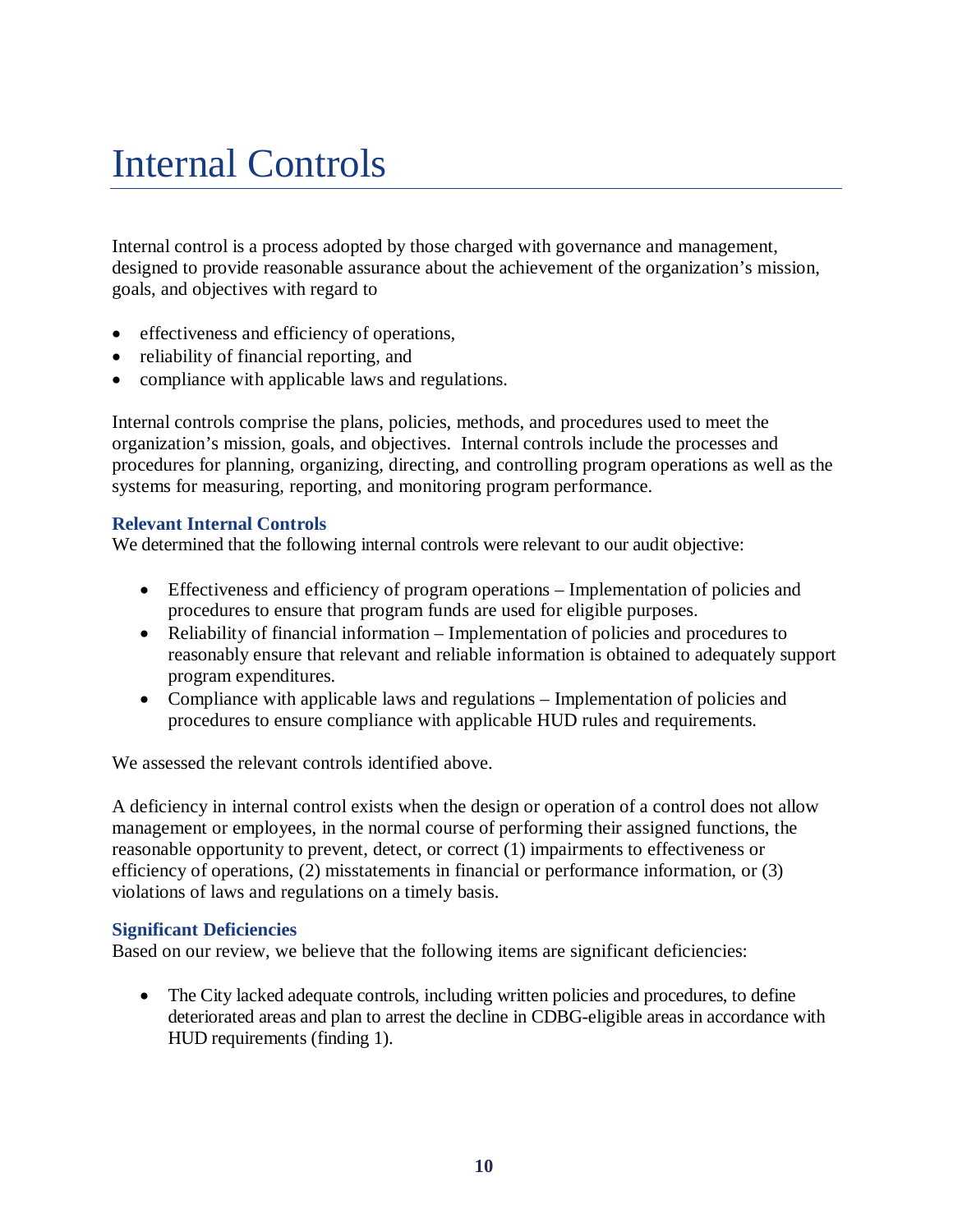## <span id="page-11-0"></span>Internal Controls

Internal control is a process adopted by those charged with governance and management, designed to provide reasonable assurance about the achievement of the organization's mission, goals, and objectives with regard to

- effectiveness and efficiency of operations,
- reliability of financial reporting, and
- compliance with applicable laws and regulations.

Internal controls comprise the plans, policies, methods, and procedures used to meet the organization's mission, goals, and objectives. Internal controls include the processes and procedures for planning, organizing, directing, and controlling program operations as well as the systems for measuring, reporting, and monitoring program performance.

#### **Relevant Internal Controls**

We determined that the following internal controls were relevant to our audit objective:

- Effectiveness and efficiency of program operations Implementation of policies and procedures to ensure that program funds are used for eligible purposes.
- Reliability of financial information Implementation of policies and procedures to reasonably ensure that relevant and reliable information is obtained to adequately support program expenditures.
- Compliance with applicable laws and regulations Implementation of policies and procedures to ensure compliance with applicable HUD rules and requirements.

We assessed the relevant controls identified above.

A deficiency in internal control exists when the design or operation of a control does not allow management or employees, in the normal course of performing their assigned functions, the reasonable opportunity to prevent, detect, or correct (1) impairments to effectiveness or efficiency of operations, (2) misstatements in financial or performance information, or (3) violations of laws and regulations on a timely basis.

#### **Significant Deficiencies**

Based on our review, we believe that the following items are significant deficiencies:

• The City lacked adequate controls, including written policies and procedures, to define deteriorated areas and plan to arrest the decline in CDBG-eligible areas in accordance with HUD requirements (finding 1).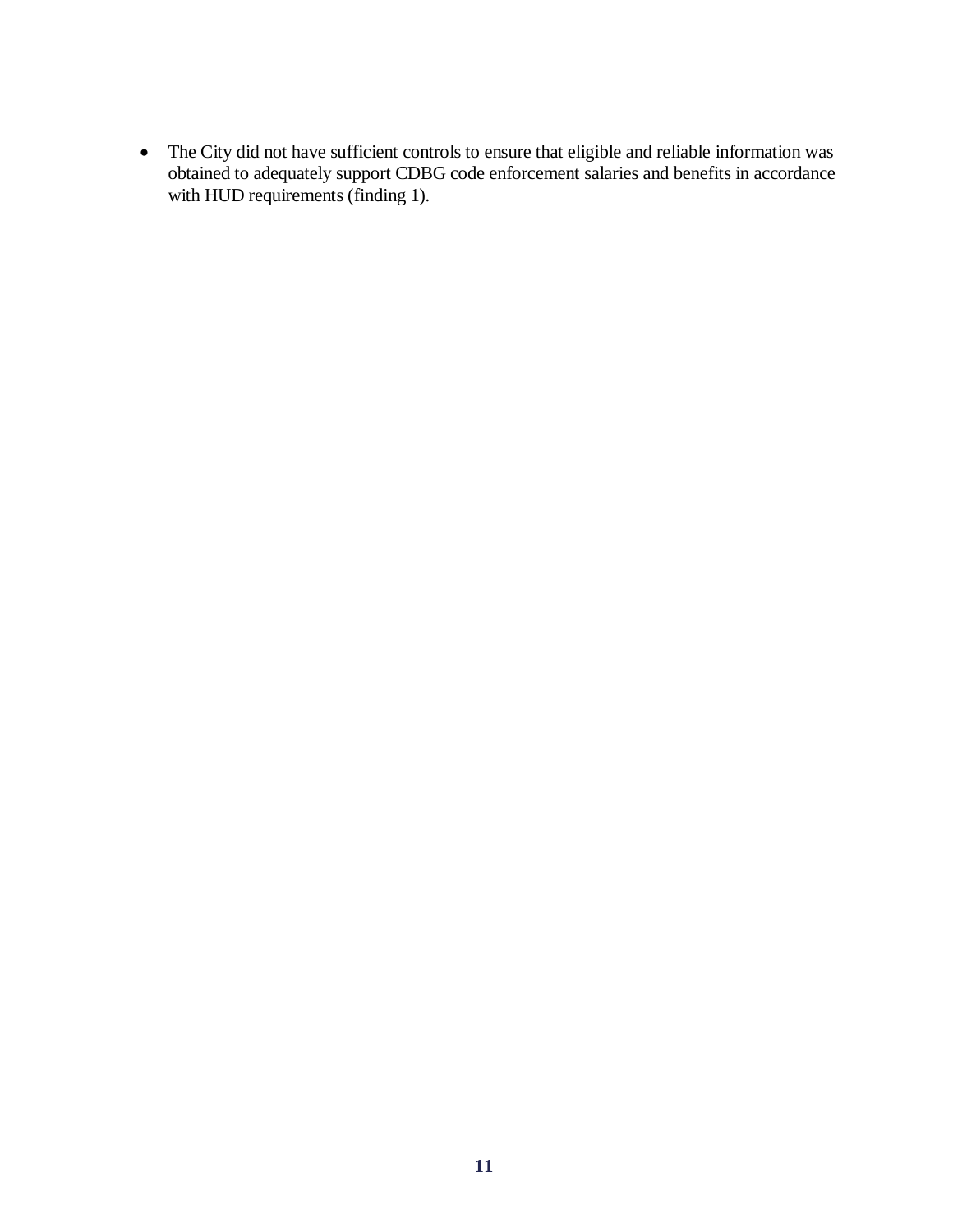• The City did not have sufficient controls to ensure that eligible and reliable information was obtained to adequately support CDBG code enforcement salaries and benefits in accordance with HUD requirements (finding 1).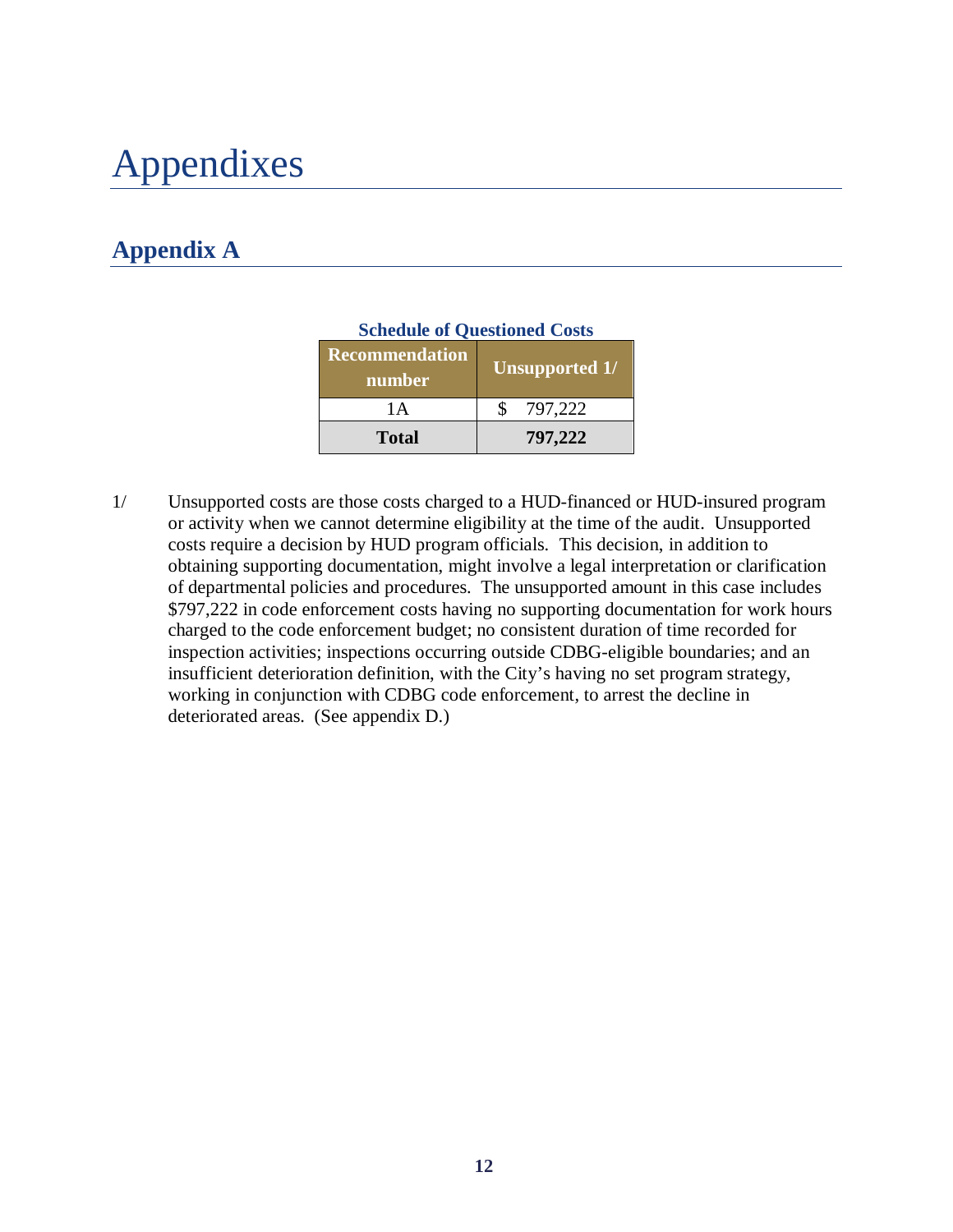## <span id="page-13-0"></span>Appendixes

### <span id="page-13-1"></span>**Appendix A**

| Schedule of Ouestfolied Costs   |                       |  |  |  |
|---------------------------------|-----------------------|--|--|--|
| <b>Recommendation</b><br>number | <b>Unsupported 1/</b> |  |  |  |
| 1 A                             | 797,222               |  |  |  |
| <b>Total</b>                    | 797,222               |  |  |  |

#### **Schedule of Questioned Costs**

1/ Unsupported costs are those costs charged to a HUD-financed or HUD-insured program or activity when we cannot determine eligibility at the time of the audit. Unsupported costs require a decision by HUD program officials. This decision, in addition to obtaining supporting documentation, might involve a legal interpretation or clarification of departmental policies and procedures. The unsupported amount in this case includes \$797,222 in code enforcement costs having no supporting documentation for work hours charged to the code enforcement budget; no consistent duration of time recorded for inspection activities; inspections occurring outside CDBG-eligible boundaries; and an insufficient deterioration definition, with the City's having no set program strategy, working in conjunction with CDBG code enforcement, to arrest the decline in deteriorated areas. (See appendix D.)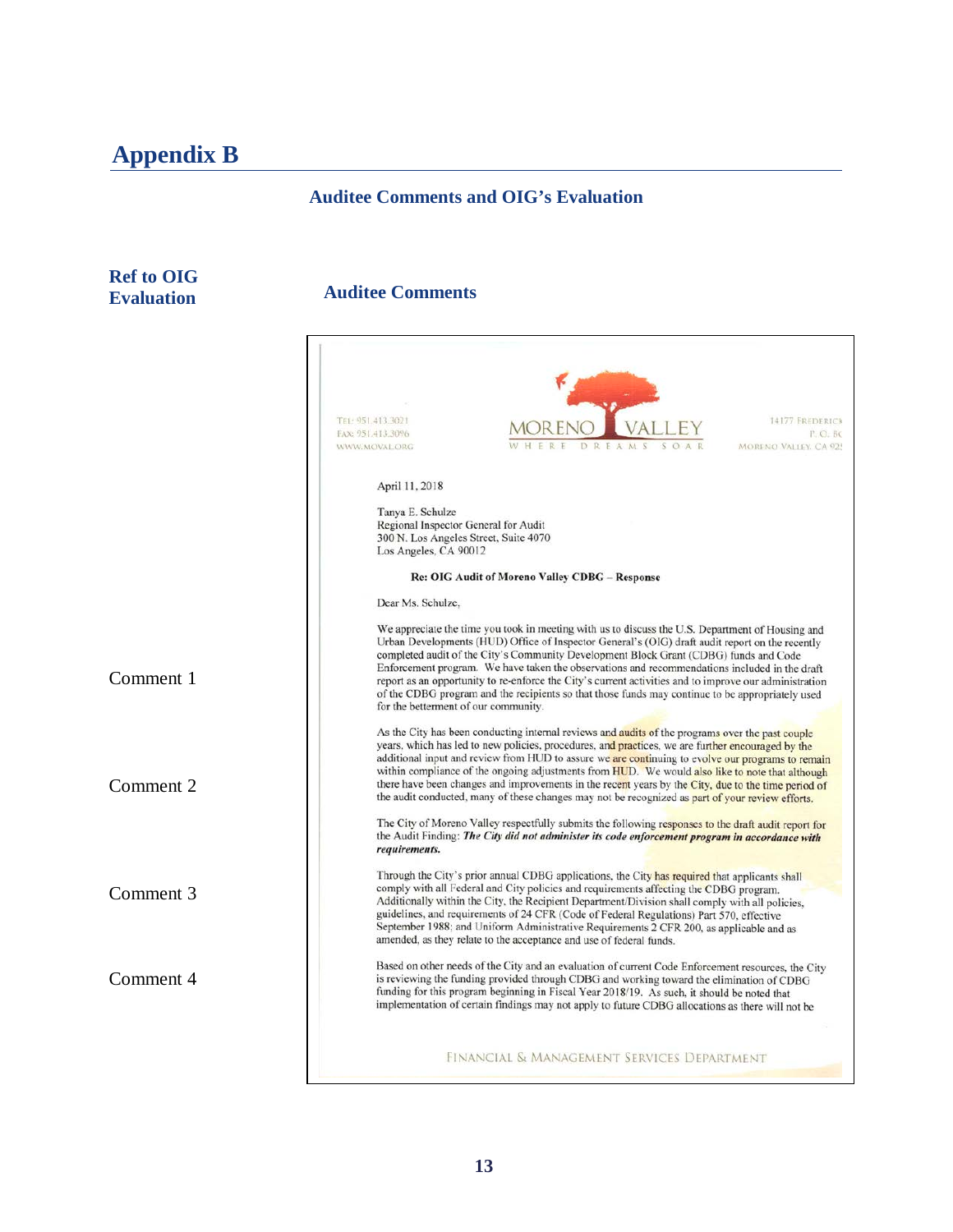### **Appendix B**

#### <span id="page-14-0"></span>**Auditee Comments and OIG's Evaluation**

#### **Ref to OIG Evaluation**

#### **Auditee Comments**

|           | TEL: 951.413.3021<br>14177 FREDERICK<br>FAX: 951.413.3096<br>P.O.BC                                                                                                                                                                                                                                                                                                                                                                                                                                                                                                                                                                                                                                                              |
|-----------|----------------------------------------------------------------------------------------------------------------------------------------------------------------------------------------------------------------------------------------------------------------------------------------------------------------------------------------------------------------------------------------------------------------------------------------------------------------------------------------------------------------------------------------------------------------------------------------------------------------------------------------------------------------------------------------------------------------------------------|
|           | MORENO VALLEY, CA 925<br>WWW.MOVAL.ORG<br>DREAM                                                                                                                                                                                                                                                                                                                                                                                                                                                                                                                                                                                                                                                                                  |
|           | April 11, 2018                                                                                                                                                                                                                                                                                                                                                                                                                                                                                                                                                                                                                                                                                                                   |
|           | Tanya E. Schulze<br>Regional Inspector General for Audit<br>300 N. Los Angeles Street, Suite 4070<br>Los Angeles, CA 90012                                                                                                                                                                                                                                                                                                                                                                                                                                                                                                                                                                                                       |
|           | Re: OIG Audit of Moreno Valley CDBG - Response                                                                                                                                                                                                                                                                                                                                                                                                                                                                                                                                                                                                                                                                                   |
|           | Dear Ms. Schulze.                                                                                                                                                                                                                                                                                                                                                                                                                                                                                                                                                                                                                                                                                                                |
| Comment 1 | We appreciate the time you took in meeting with us to discuss the U.S. Department of Housing and<br>Urban Developments (HUD) Office of Inspector General's (OIG) draft audit report on the recently<br>completed audit of the City's Community Development Block Grant (CDBG) funds and Code<br>Enforcement program. We have taken the observations and recommendations included in the draft<br>report as an opportunity to re-enforce the City's current activities and to improve our administration<br>of the CDBG program and the recipients so that those funds may continue to be appropriately used<br>for the betterment of our community.                                                                              |
| Comment 2 | As the City has been conducting internal reviews and audits of the programs over the past couple<br>years, which has led to new policies, procedures, and practices, we are further encouraged by the<br>additional input and review from HUD to assure we are continuing to evolve our programs to remain<br>within compliance of the ongoing adjustments from HUD. We would also like to note that although<br>there have been changes and improvements in the recent years by the City, due to the time period of<br>the audit conducted, many of these changes may not be recognized as part of your review efforts.<br>The City of Moreno Valley respectfully submits the following responses to the draft audit report for |
|           | the Audit Finding: The City did not administer its code enforcement program in accordance with<br>requirements.                                                                                                                                                                                                                                                                                                                                                                                                                                                                                                                                                                                                                  |
| Comment 3 | Through the City's prior annual CDBG applications, the City has required that applicants shall<br>comply with all Federal and City policies and requirements affecting the CDBG program.<br>Additionally within the City, the Recipient Department/Division shall comply with all policies,<br>guidelines, and requirements of 24 CFR (Code of Federal Regulations) Part 570, effective<br>September 1988; and Uniform Administrative Requirements 2 CFR 200, as applicable and as<br>amended, as they relate to the acceptance and use of federal funds.                                                                                                                                                                        |
| Comment 4 | Based on other needs of the City and an evaluation of current Code Enforcement resources, the City<br>is reviewing the funding provided through CDBG and working toward the elimination of CDBG<br>funding for this program beginning in Fiscal Year 2018/19. As such, it should be noted that<br>implementation of certain findings may not apply to future CDBG allocations as there will not be                                                                                                                                                                                                                                                                                                                               |
|           | FINANCIAL & MANAGEMENT SERVICES DEPARTMENT                                                                                                                                                                                                                                                                                                                                                                                                                                                                                                                                                                                                                                                                                       |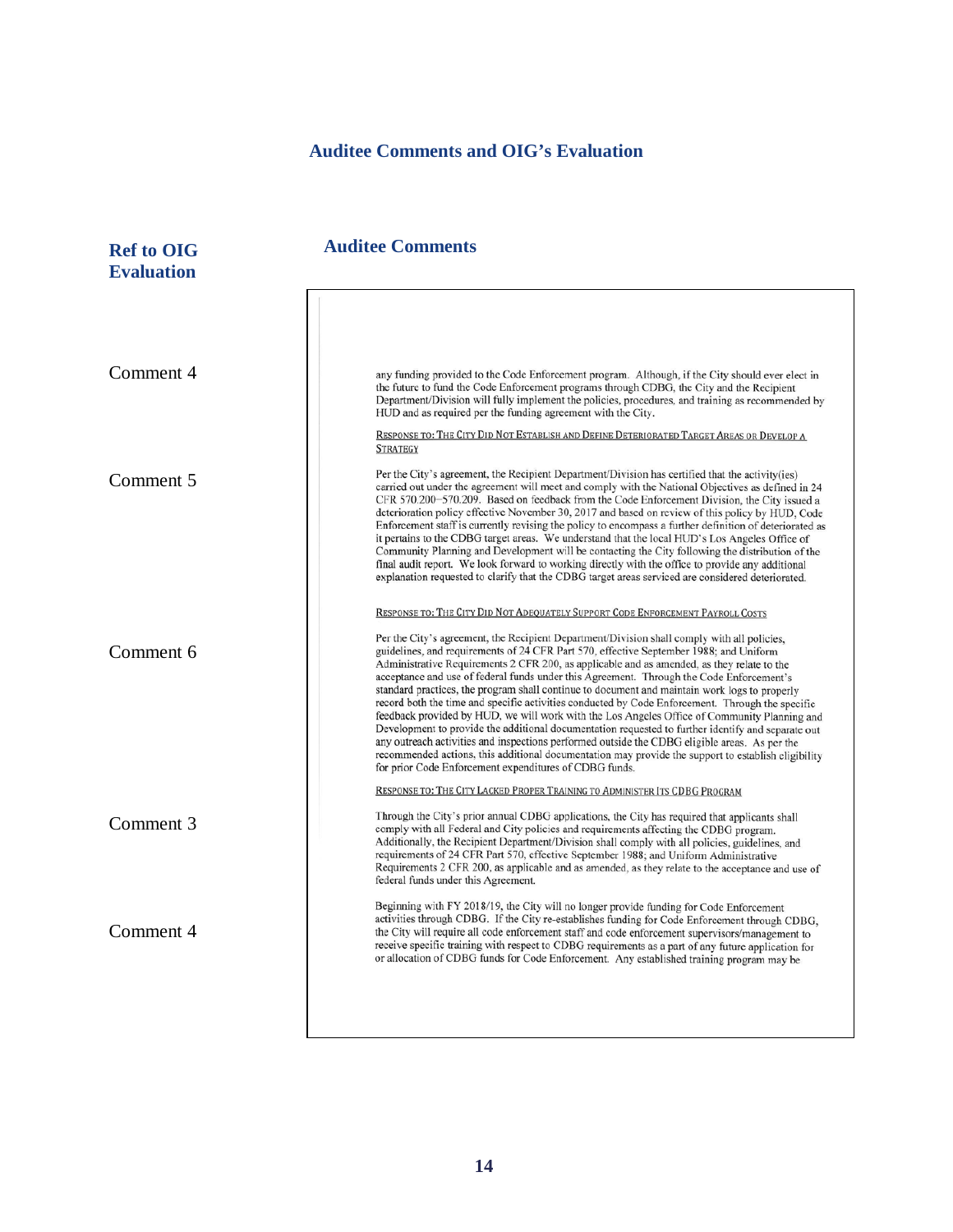#### **Auditee Comments and OIG's Evaluation**

**Ref to OIG 40 Auditee Comments Evaluation** Comment 4 any funding provided to the Code Enforcement program. Although, if the City should ever elect in the future to fund the Code Enforcement programs through CDBG, the City and the Recipient Department/Division will fully implement the policies, procedures, and training as recommended by HUD and as required per the funding agreement with the City. RESPONSE TO: THE CITY DID NOT ESTABLISH AND DEFINE DETERIORATED TARGET AREAS OR DEVELOP A **STRATEGY** Per the City's agreement, the Recipient Department/Division has certified that the activity(ies) Comment 5 carried out under the agreement will meet and comply with the National Objectives as defined in 24 CFR 570.200-570.209. Based on feedback from the Code Enforcement Division, the City issued a deterioration policy effective November 30, 2017 and based on review of this policy by HUD, Code Enforcement staff is currently revising the policy to encompass a further definition of deteriorated as it pertains to the CDBG target areas. We understand that the local HUD's Los Angeles Office of Community Planning and Development will be contacting the City following the distribution of the final audit report. We look forward to working directly with the office to provide any additional explanation requested to clarify that the CDBG target areas serviced are considered deteriorated. RESPONSE TO: THE CITY DID NOT ADEQUATELY SUPPORT CODE ENFORCEMENT PAYROLL COSTS Per the City's agreement, the Recipient Department/Division shall comply with all policies. guidelines, and requirements of 24 CFR Part 570, effective September 1988; and Uniform Comment 6 Administrative Requirements 2 CFR 200, as applicable and as amended, as they relate to the acceptance and use of federal funds under this Agreement. Through the Code Enforcement's standard practices, the program shall continue to document and maintain work logs to properly record both the time and specific activities conducted by Code Enforcement. Through the specific feedback provided by HUD, we will work with the Los Angeles Office of Community Planning and Development to provide the additional documentation requested to further identify and separate out any outreach activities and inspections performed outside the CDBG eligible areas. As per the recommended actions, this additional documentation may provide the support to establish eligibility for prior Code Enforcement expenditures of CDBG funds. RESPONSE TO: THE CITY LACKED PROPER TRAINING TO ADMINISTER ITS CDBG PROGRAM Through the City's prior annual CDBG applications, the City has required that applicants shall Comment 3 comply with all Federal and City policies and requirements affecting the CDBG program. Additionally, the Recipient Department/Division shall comply with all policies, guidelines, and requirements of 24 CFR Part 570, effective September 1988; and Uniform Administrative Requirements 2 CFR 200, as applicable and as amended, as they relate to the acceptance and use of federal funds under this Agreement. Beginning with FY 2018/19, the City will no longer provide funding for Code Enforcement activities through CDBG. If the City re-establishes funding for Code Enforcement through CDBG, Comment 4the City will require all code enforcement staff and code enforcement supervisors/management to receive specific training with respect to CDBG requirements as a part of any future application for or allocation of CDBG funds for Code Enforcement. Any established training program may be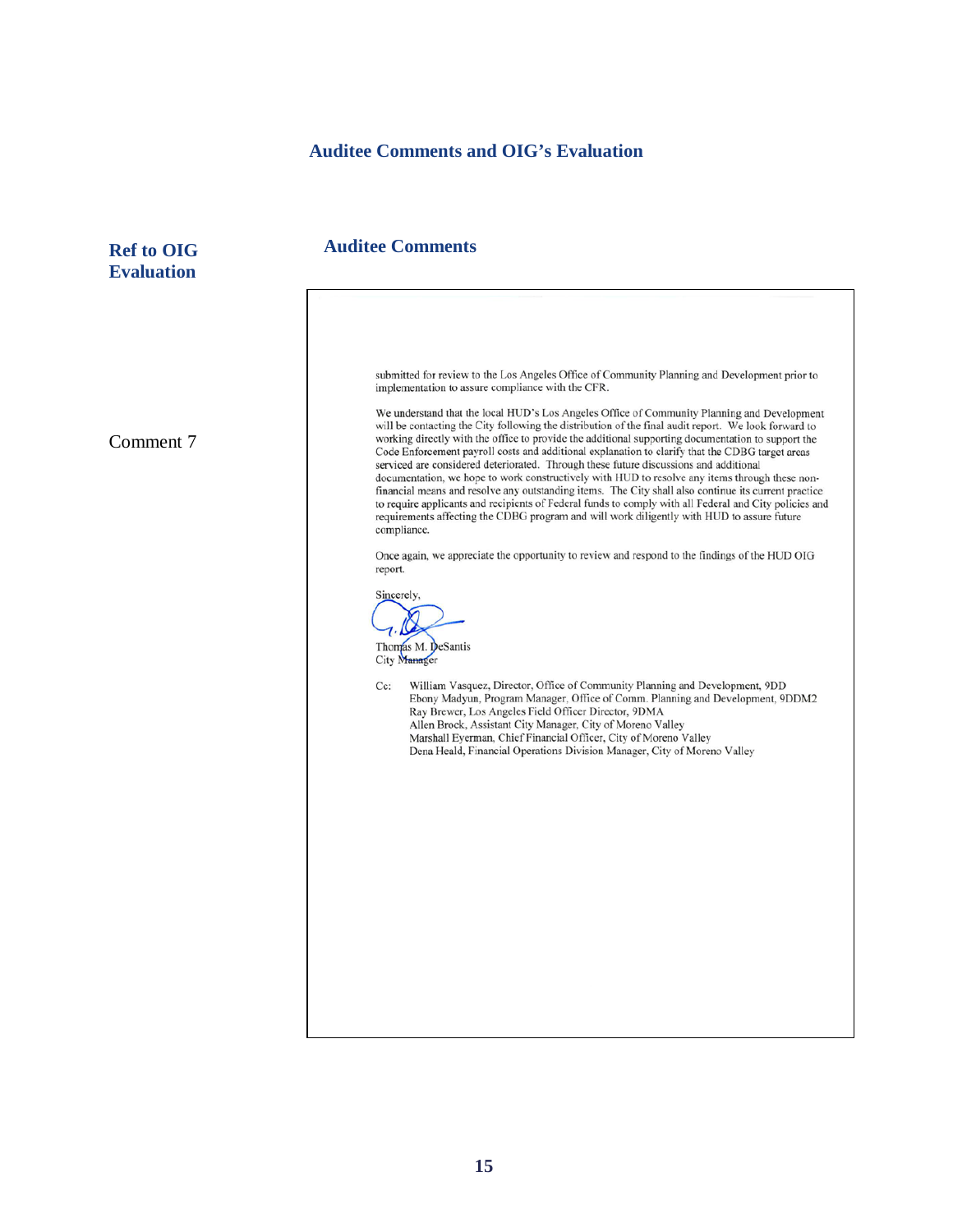#### **Auditee Comments and OIG's Evaluation**

**Ref to OIG 40 Auditee Comments Evaluation** submitted for review to the Los Angeles Office of Community Planning and Development prior to implementation to assure compliance with the CFR. We understand that the local HUD's Los Angeles Office of Community Planning and Development will be contacting the City following the distribution of the final audit report. We look forward to working directly with the office to provide the additional supporting documentation to support the Comment 7Code Enforcement payroll costs and additional explanation to clarify that the CDBG target areas serviced are considered deteriorated. Through these future discussions and additional documentation, we hope to work constructively with HUD to resolve any items through these nonfinancial means and resolve any outstanding items. The City shall also continue its current practice to require applicants and recipients of Federal funds to comply with all Federal and City policies and requirements affecting the CDBG program and will work diligently with HUD to assure future compliance. Once again, we appreciate the opportunity to review and respond to the findings of the HUD OIG report. Sincerely, Thomas M. DeSantis City Manager William Vasquez, Director, Office of Community Planning and Development, 9DD Cc: Ebony Madyun, Program Manager, Office of Comm. Planning and Development, 9DDM2 Ray Brewer, Los Angeles Field Officer Director, 9DMA Allen Brock, Assistant City Manager, City of Moreno Valley Marshall Eyerman, Chief Financial Officer, City of Moreno Valley Dena Heald, Financial Operations Division Manager, City of Moreno Valley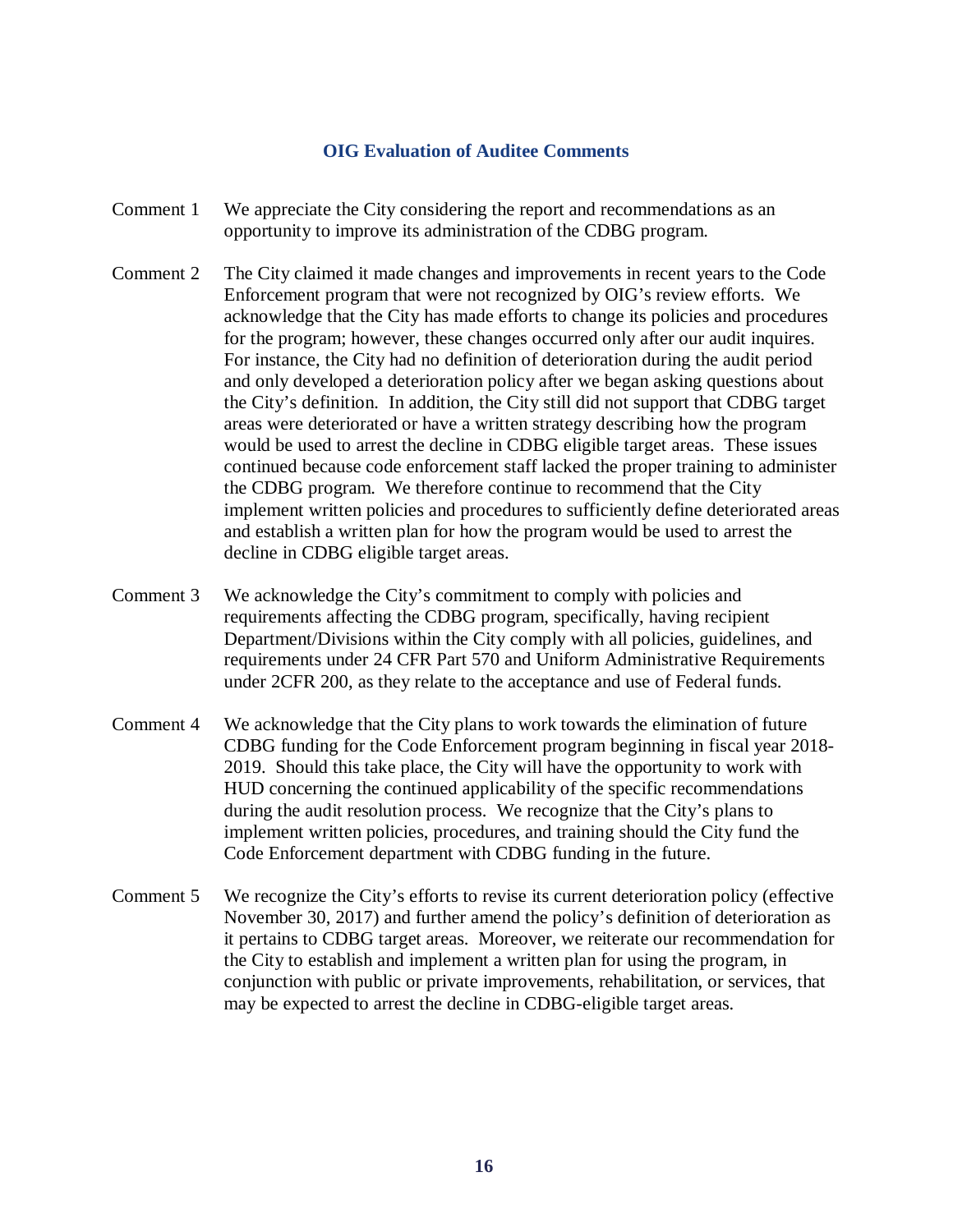#### **OIG Evaluation of Auditee Comments**

- Comment 1 We appreciate the City considering the report and recommendations as an opportunity to improve its administration of the CDBG program.
- Comment 2 The City claimed it made changes and improvements in recent years to the Code Enforcement program that were not recognized by OIG's review efforts. We acknowledge that the City has made efforts to change its policies and procedures for the program; however, these changes occurred only after our audit inquires. For instance, the City had no definition of deterioration during the audit period and only developed a deterioration policy after we began asking questions about the City's definition. In addition, the City still did not support that CDBG target areas were deteriorated or have a written strategy describing how the program would be used to arrest the decline in CDBG eligible target areas. These issues continued because code enforcement staff lacked the proper training to administer the CDBG program. We therefore continue to recommend that the City implement written policies and procedures to sufficiently define deteriorated areas and establish a written plan for how the program would be used to arrest the decline in CDBG eligible target areas.
- Comment 3 We acknowledge the City's commitment to comply with policies and requirements affecting the CDBG program, specifically, having recipient Department/Divisions within the City comply with all policies, guidelines, and requirements under 24 CFR Part 570 and Uniform Administrative Requirements under 2CFR 200, as they relate to the acceptance and use of Federal funds.
- Comment 4 We acknowledge that the City plans to work towards the elimination of future CDBG funding for the Code Enforcement program beginning in fiscal year 2018- 2019. Should this take place, the City will have the opportunity to work with HUD concerning the continued applicability of the specific recommendations during the audit resolution process. We recognize that the City's plans to implement written policies, procedures, and training should the City fund the Code Enforcement department with CDBG funding in the future.
- Comment 5 We recognize the City's efforts to revise its current deterioration policy (effective November 30, 2017) and further amend the policy's definition of deterioration as it pertains to CDBG target areas. Moreover, we reiterate our recommendation for the City to establish and implement a written plan for using the program, in conjunction with public or private improvements, rehabilitation, or services, that may be expected to arrest the decline in CDBG-eligible target areas.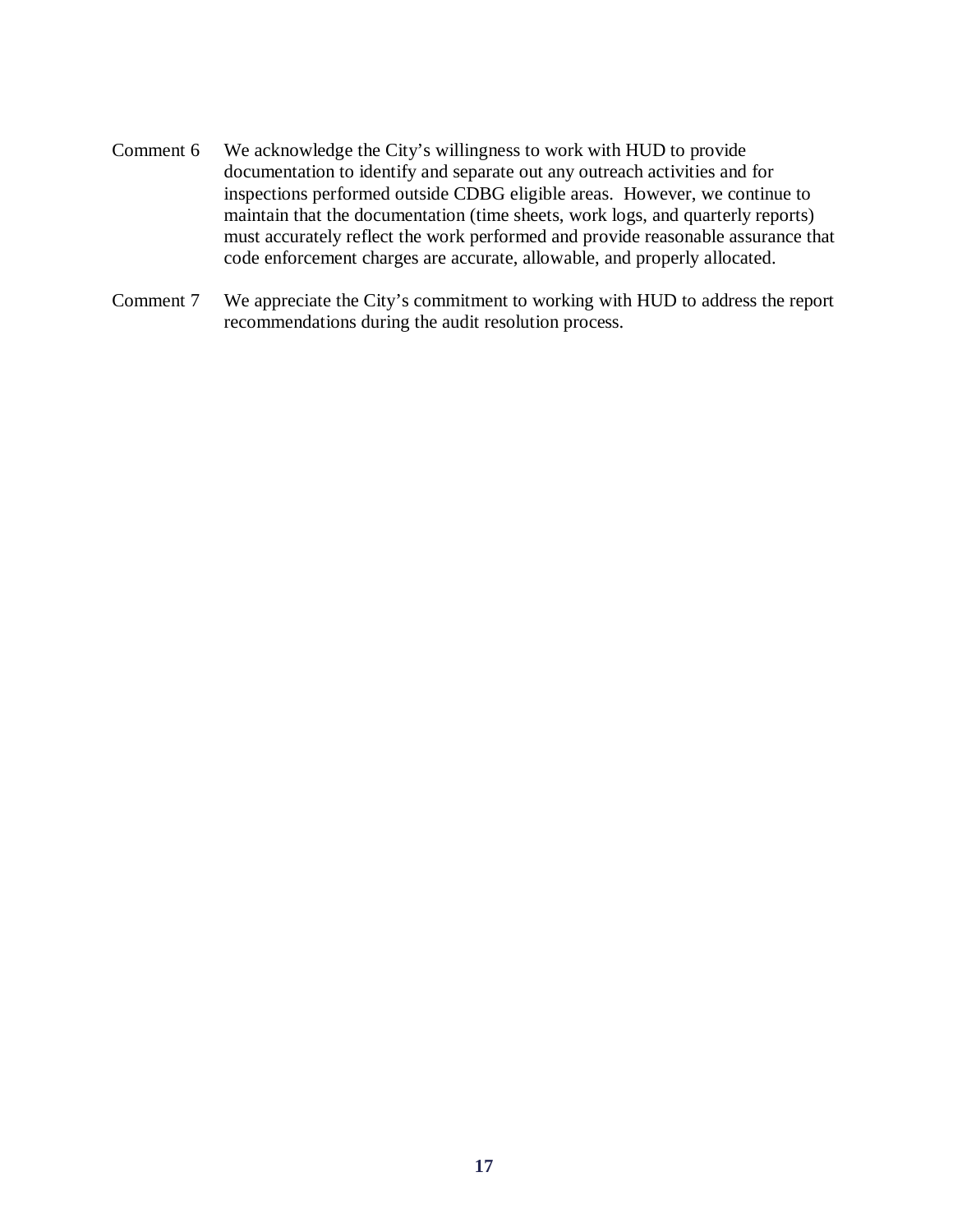- Comment 6 We acknowledge the City's willingness to work with HUD to provide documentation to identify and separate out any outreach activities and for inspections performed outside CDBG eligible areas. However, we continue to maintain that the documentation (time sheets, work logs, and quarterly reports) must accurately reflect the work performed and provide reasonable assurance that code enforcement charges are accurate, allowable, and properly allocated.
- Comment 7 We appreciate the City's commitment to working with HUD to address the report recommendations during the audit resolution process.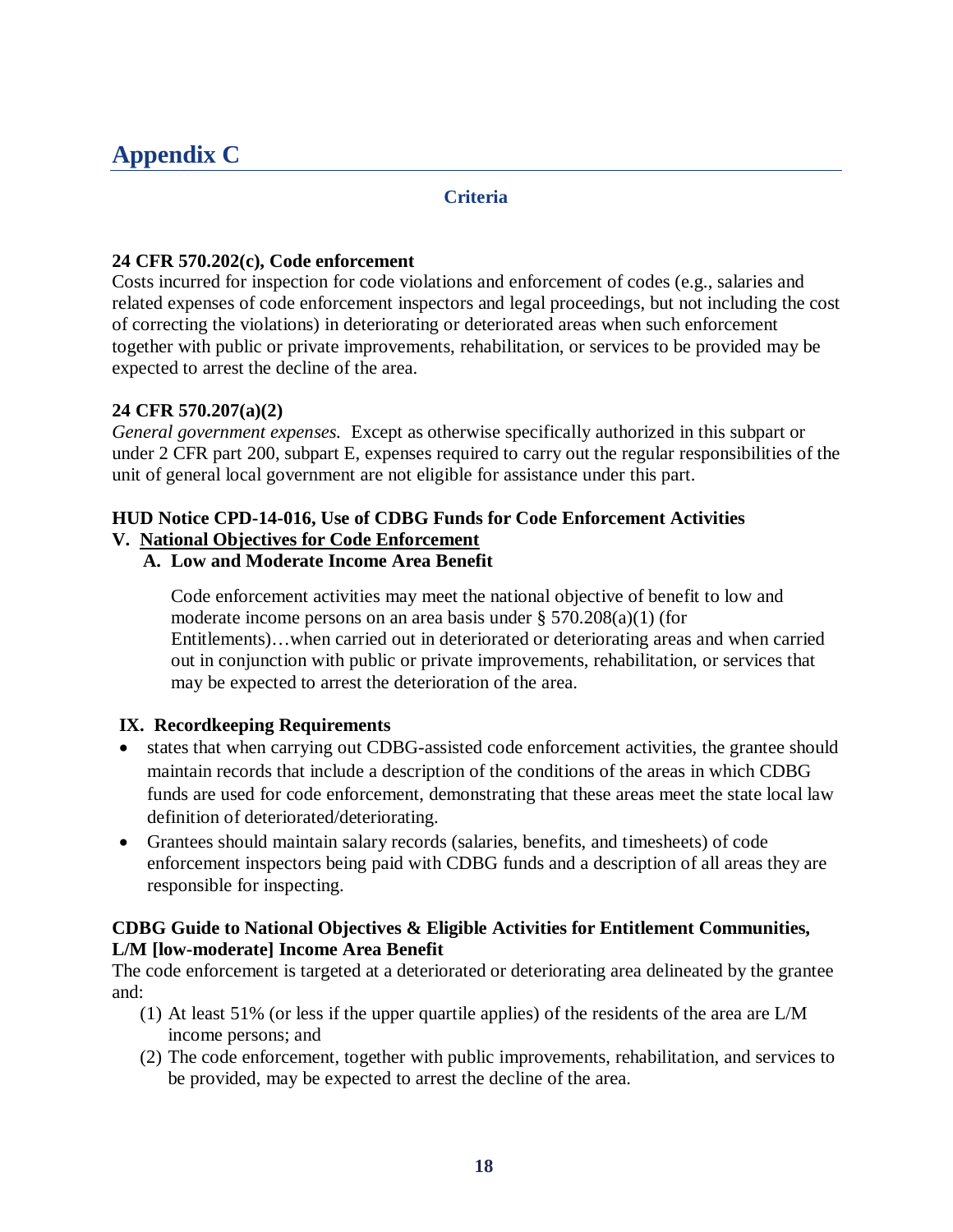### <span id="page-19-0"></span>**Appendix C**

#### **Criteria**

#### **24 CFR 570.202(c), Code enforcement**

Costs incurred for inspection for code violations and enforcement of codes (e.g., salaries and related expenses of code enforcement inspectors and legal proceedings, but not including the cost of correcting the violations) in deteriorating or deteriorated areas when such enforcement together with public or private improvements, rehabilitation, or services to be provided may be expected to arrest the decline of the area.

#### **24 CFR 570.207(a)(2)**

*General government expenses.* Except as otherwise specifically authorized in this subpart or under 2 CFR part 200, subpart E, expenses required to carry out the regular responsibilities of the unit of general local government are not eligible for assistance under this part.

### **HUD Notice CPD-14-016, Use of CDBG Funds for Code Enforcement Activities**

#### **V. National Objectives for Code Enforcement**

#### **A. Low and Moderate Income Area Benefit**

Code enforcement activities may meet the national objective of benefit to low and moderate income persons on an area basis under § 570.208(a)(1) (for Entitlements)…when carried out in deteriorated or deteriorating areas and when carried out in conjunction with public or private improvements, rehabilitation, or services that may be expected to arrest the deterioration of the area.

#### **IX. Recordkeeping Requirements**

- states that when carrying out CDBG-assisted code enforcement activities, the grantee should maintain records that include a description of the conditions of the areas in which CDBG funds are used for code enforcement, demonstrating that these areas meet the state local law definition of deteriorated/deteriorating.
- Grantees should maintain salary records (salaries, benefits, and timesheets) of code enforcement inspectors being paid with CDBG funds and a description of all areas they are responsible for inspecting.

#### **CDBG Guide to National Objectives & Eligible Activities for Entitlement Communities, L/M [low-moderate] Income Area Benefit**

The code enforcement is targeted at a deteriorated or deteriorating area delineated by the grantee and:

- (1) At least 51% (or less if the upper quartile applies) of the residents of the area are L/M income persons; and
- (2) The code enforcement, together with public improvements, rehabilitation, and services to be provided, may be expected to arrest the decline of the area.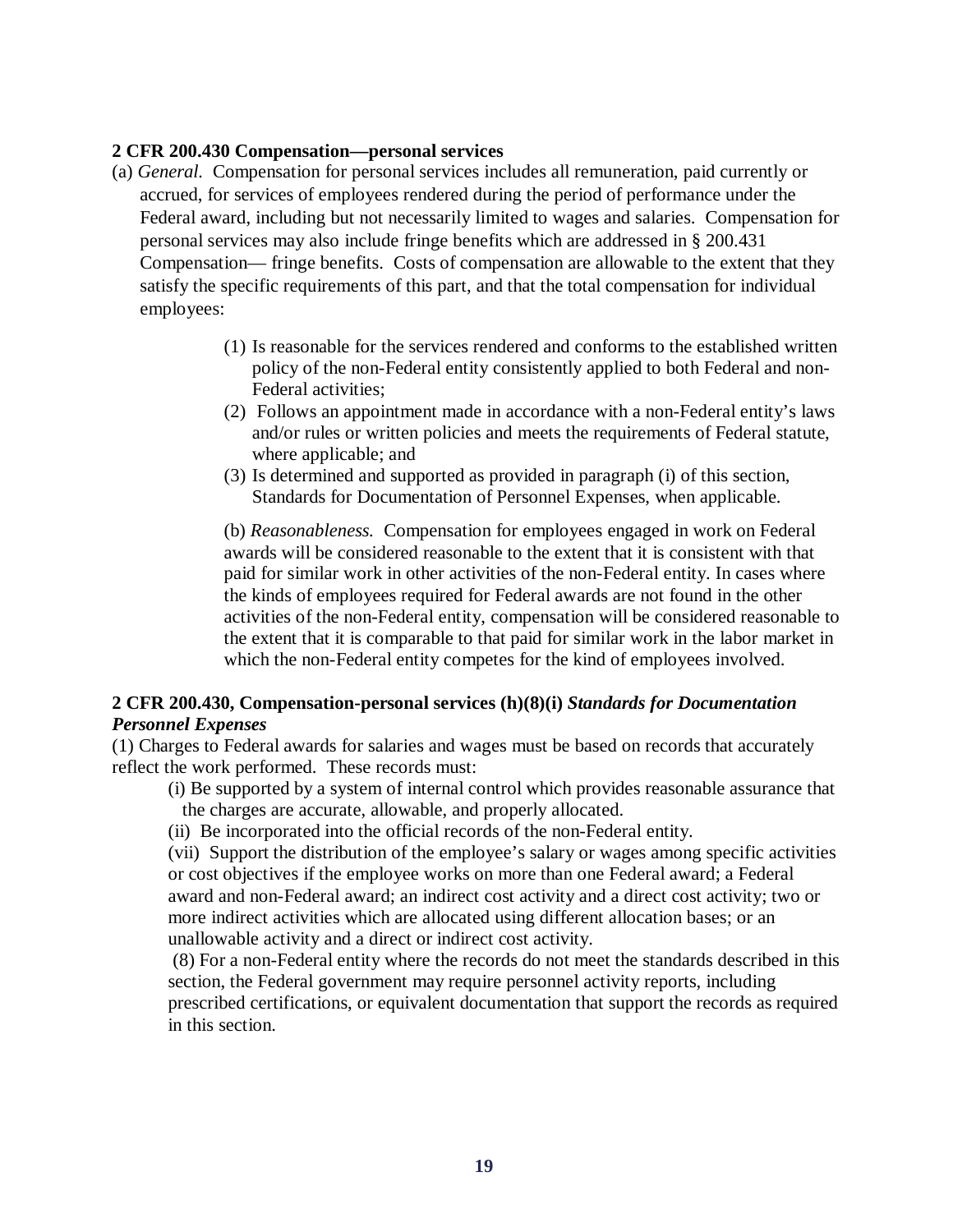#### **2 CFR 200.430 Compensation—personal services**

- (a) *General.* Compensation for personal services includes all remuneration, paid currently or accrued, for services of employees rendered during the period of performance under the Federal award, including but not necessarily limited to wages and salaries. Compensation for personal services may also include fringe benefits which are addressed in § 200.431 Compensation— fringe benefits. Costs of compensation are allowable to the extent that they satisfy the specific requirements of this part, and that the total compensation for individual employees:
	- (1) Is reasonable for the services rendered and conforms to the established written policy of the non-Federal entity consistently applied to both Federal and non-Federal activities;
	- (2) Follows an appointment made in accordance with a non-Federal entity's laws and/or rules or written policies and meets the requirements of Federal statute, where applicable; and
	- (3) Is determined and supported as provided in paragraph (i) of this section, Standards for Documentation of Personnel Expenses, when applicable.

(b) *Reasonableness.* Compensation for employees engaged in work on Federal awards will be considered reasonable to the extent that it is consistent with that paid for similar work in other activities of the non-Federal entity. In cases where the kinds of employees required for Federal awards are not found in the other activities of the non-Federal entity, compensation will be considered reasonable to the extent that it is comparable to that paid for similar work in the labor market in which the non-Federal entity competes for the kind of employees involved.

#### **2 CFR 200.430, Compensation-personal services (h)(8)(i)** *Standards for Documentation Personnel Expenses*

(1) Charges to Federal awards for salaries and wages must be based on records that accurately reflect the work performed. These records must:

- (i) Be supported by a system of internal control which provides reasonable assurance that the charges are accurate, allowable, and properly allocated.
- (ii) Be incorporated into the official records of the non-Federal entity.

(vii) Support the distribution of the employee's salary or wages among specific activities or cost objectives if the employee works on more than one Federal award; a Federal award and non-Federal award; an indirect cost activity and a direct cost activity; two or more indirect activities which are allocated using different allocation bases; or an unallowable activity and a direct or indirect cost activity.

(8) For a non-Federal entity where the records do not meet the standards described in this section, the Federal government may require personnel activity reports, including prescribed certifications, or equivalent documentation that support the records as required in this section.